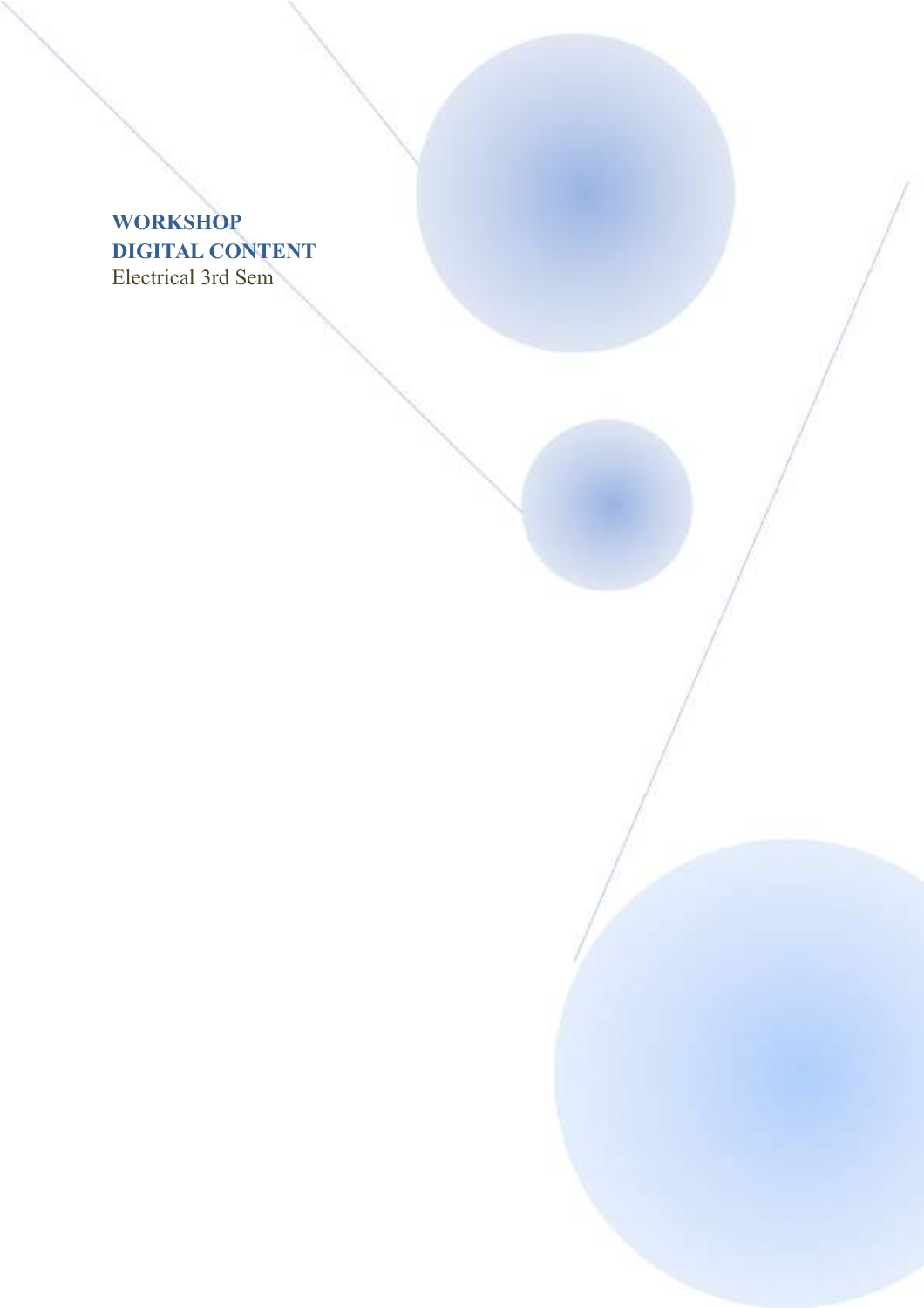## **WORKSHOP DIGITAL CONTENT** Electrical 3rd Sem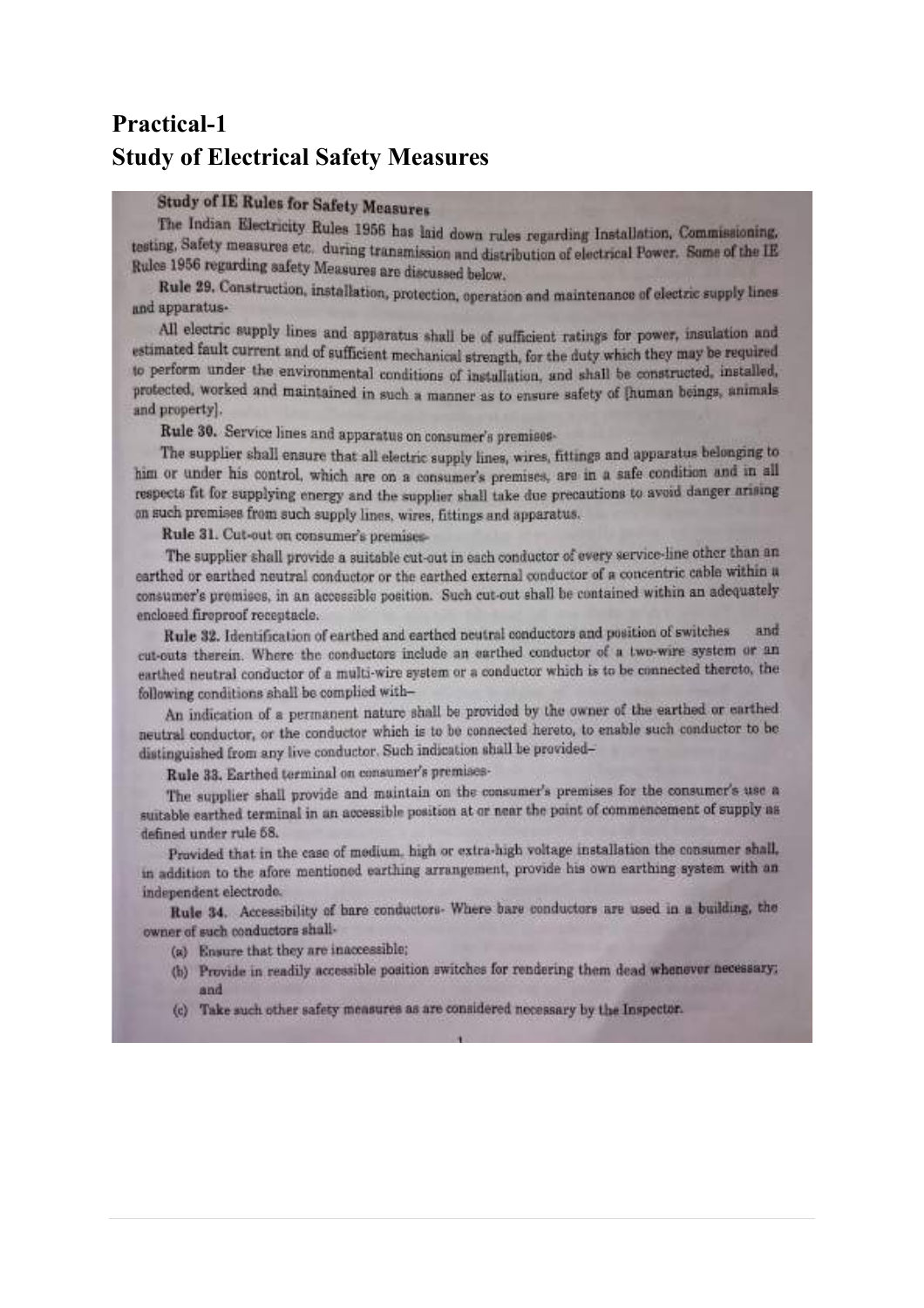## **Practical-1 Study of Electrical Safety Measures**

## **Study of IE Rules for Safety Measures**

The Indian Electricity Rules 1956 has laid down rules regarding Installation, Commissioning, testing, Safety measures etc. during transmission and distribution of electrical Power. Some of the IE Rules 1956 regarding safety Measures are discussed below.

Rule 29. Construction, installation, protection, operation and maintenance of electric supply lines and apparatus-

All electric supply lines and apparatus shall be of sufficient ratings for power, insulation and estimated fault current and of sufficient mechanical strength, for the duty which they may be required to perform under the environmental conditions of installation, and shall be constructed, installed, protected, worked and maintained in such a manner as to ensure safety of [human beings, animals and property).

Rule 30. Service lines and apparatus on consumer's premises-

The supplier shall ensure that all electric supply lines, wires, fittings and apparatus belonging to him or under his control, which are on a consumer's premises, are in a safe condition and in all respects fit for supplying energy and the supplier shall take due precautions to avoid danger arising on such premises from such supply lines, wires, fittings and apparatus.

Rule 31. Cut-out on consumer's premises-

The supplier shall provide a suitable cut-out in each conductor of every service-line other than an earthed or earthed neutral conductor or the earthed external conductor of a concentric cable within a consumer's premises, in an accessible position. Such cut-out shall be contained within an adequately enclosed fireproof receptacle.

Rule 32. Identification of earthed and earthed neutral conductors and position of switches and cut-outs therein. Where the conductors include an earthed conductor of a two-wire system or an earthed neutral conductor of a multi-wire system or a conductor which is to be connected thereto, the following conditions shall be complied with-

An indication of a permanent nature shall be provided by the owner of the earthed or earthed neutral conductor, or the conductor which is to be connected hereto, to enable such conductor to be distinguished from any live conductor. Such indication shall be provided-

Rule 33. Earthed terminal on consumer's premises-

The supplier shall provide and muintain on the consumer's premises for the consumer's use a suitable earthed terminal in an accessible position at or near the point of commencement of supply as defined under rule 58.

Provided that in the case of medium, high or extra-high voltage installation the consumer shall, in addition to the afore mentioned earthing arrangement, provide his own earthing system with an independent electrode.

Rule 34. Accessibility of bare conductors- Where bare conductors are used in a building, the owner of such conductors shall-

- (a) Ensure that they are inaccessible;
- (b) Provide in readily accessible position switches for rendering them dead whenever necessary; and
- (c) Take such other safety measures as are considered necessary by the Inspector.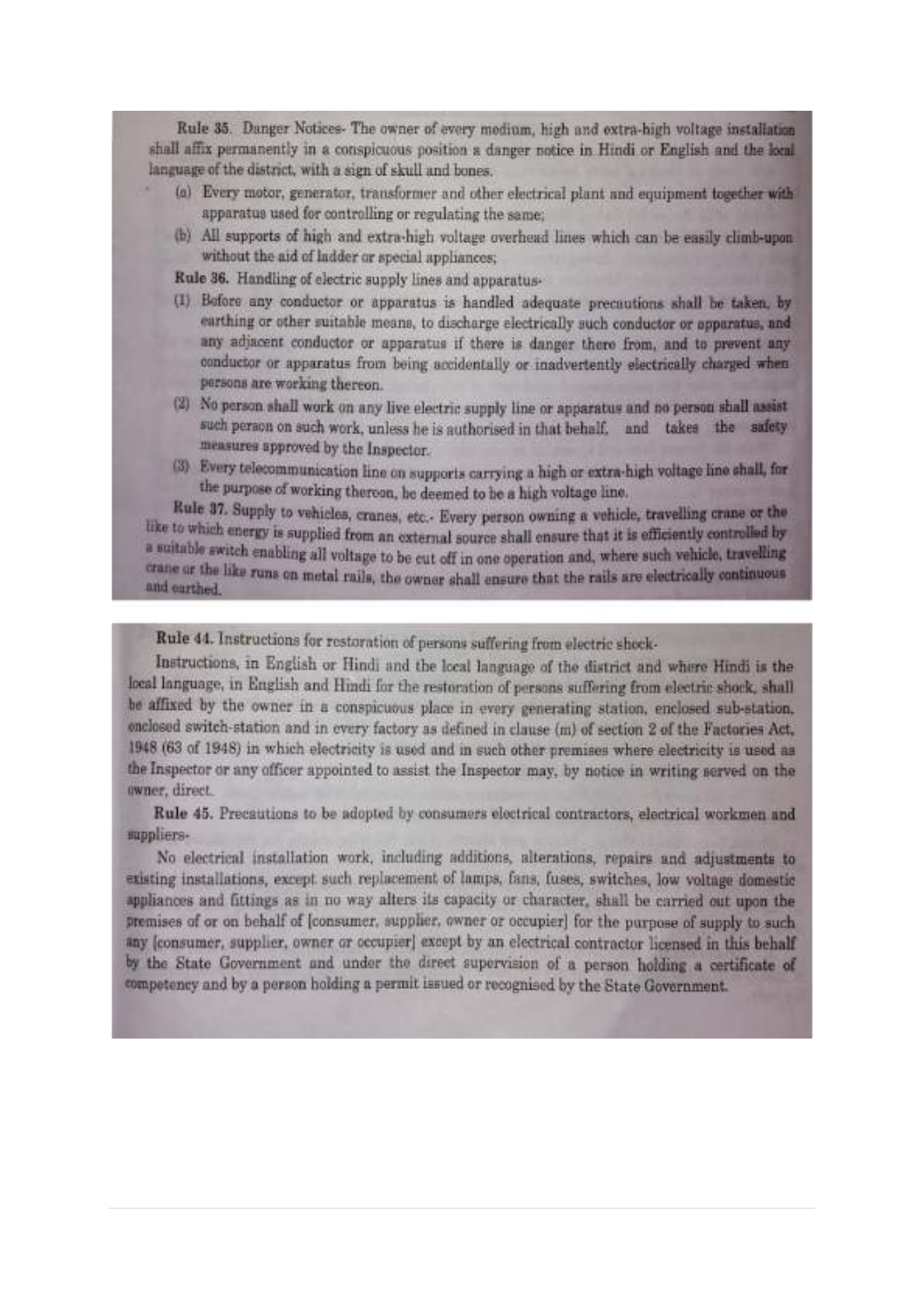Rule 35. Danger Notices- The owner of every medium, high and extra-high voltage installation shall affix permanently in a conspicuous position a danger notice in Hindi or English and the local language of the district, with a sign of skull and bones.

- (a) Every motor, generator, transformer and other electrical plant and equipment together with apparatus used for controlling or regulating the same;
- (b) All supports of high and extra-high voltage overhead lines which can be easily climb-upon without the aid of ladder or special appliances;

Rule 36. Handling of electric supply lines and apparatus-

- (I) Before any conductor or apparatus is handled adequate precautions shall be taken, by earthing or other suitable means, to discharge electrically such conductor or apparatus, and any adjacent conductor or apparatus if there is danger there from, and to prevent any conductor or apparatus from being accidentally or inadvertently electrically charged when persons are working thereon.
- (2) No person shall work on any live electric supply line or apparatus and no person shall assist such person on such work, unless he is authorised in that behalf, and takes the safety measures approved by the Inspector.
- (3) Every telecommunication line on supports carrying a high or extra-high voltage line shall, for the purpose of working thereon, be deemed to be a high voltage line.

Rule 37. Supply to vehicles, cranes, etc.- Every person owning a vehicle, travelling crane or the like to which energy is supplied from an external source shall ensure that it is efficiently controlled by a suitable switch enabling all voltage to be cut off in one operation and, where such vehicle, travelling crane or the like runs on metal rails, the owner shall ensure that the rails are electrically continuous and earthed.

Rule 44. Instructions for restoration of persons suffering from electric shock-

Instructions, in English or Hindi and the local language of the district and where Hindi is the local language, in English and Hindi for the restoration of persons suffering from electric shock, shall be affixed by the owner in a conspicuous place in every generating station, enclosed sub-station. enclosed switch-station and in every factory as defined in clause (m) of section 2 of the Factories Act, 1948 (63 of 1948) in which electricity is used and in such other premises where electricity is used as the Inspector or any officer appointed to assist the Inspector may, by notice in writing served on the owner, direct.

Rule 45. Precautions to be adopted by consumers electrical contractors, electrical workmen and suppliers-

No electrical installation work, including additions, alterations, repairs and adjustments to existing installations, except such replacement of lamps, fans, fuses, switches, low voltage domestic appliances and fittings as in no way alters its capacity or character, shall be carried out upon the premises of or on behalf of [consumer, supplier, owner or occupier] for the purpose of supply to such any (consumer, supplier, owner or occupier) except by an electrical contractor licensed in this behalf by the State Government and under the direct supervision of a person holding a certificate of competency and by a person holding a permit issued or recognised by the State Government.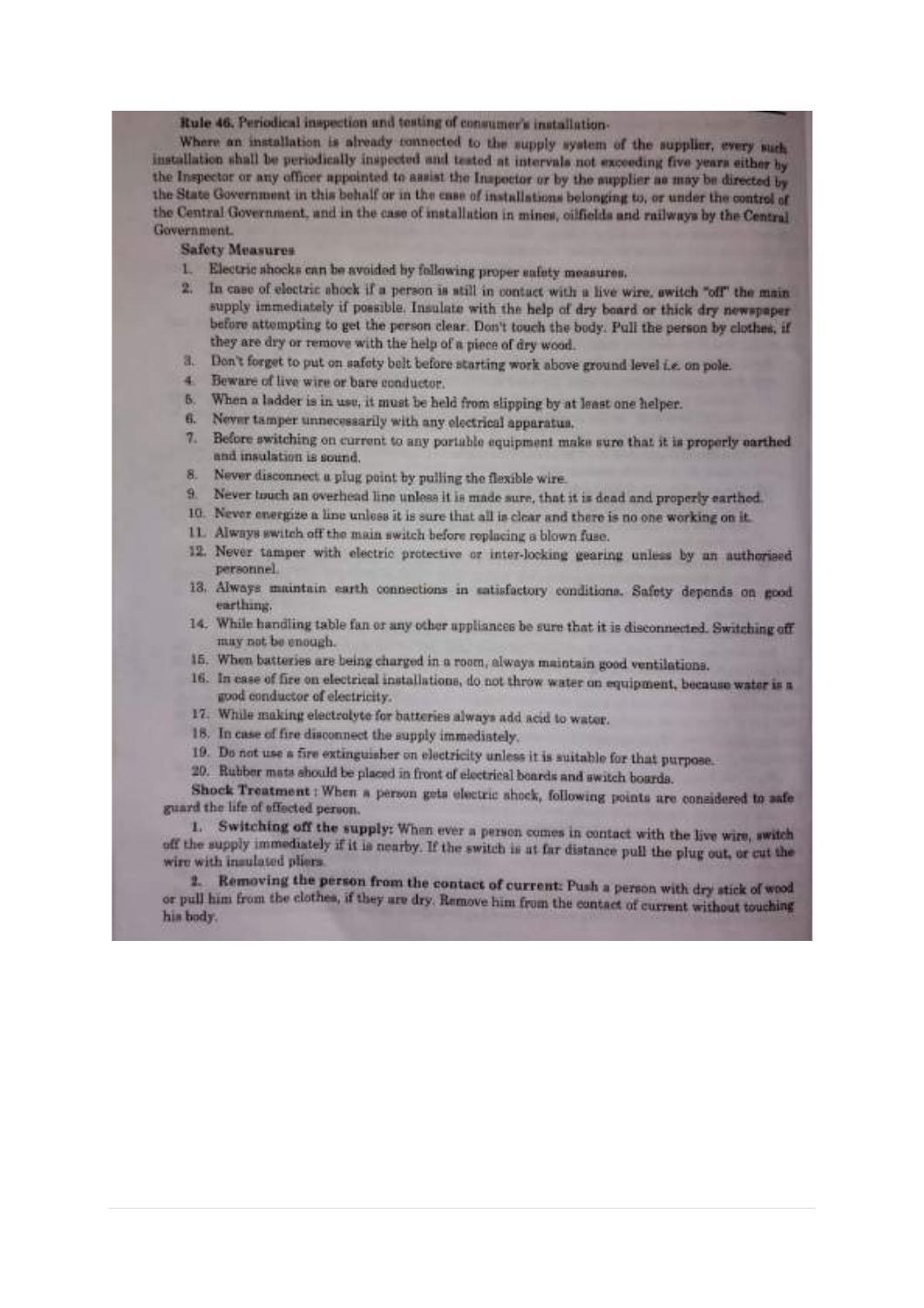Rule 46. Periodical inspection and testing of consumer's installation-

Where an installation is already connected to the supply system of the supplier, every such installation shall be periodically inspected and tested at intervals not exceeding five years either by the Inspector or any officer appointed to assist the Inspector or by the aupplier as may be directed by the State Government in this behalf or in the case of installations belonging to, or under the control of the Central Government, and in the case of installation in mines, cilfields and railways by the Central Government.

#### **Safety Measures**

- Electric shocks can be avoided by following proper safety measures.  $1$
- In case of electric shock if a person is still in contact with a live wire, switch "off" the main 2. supply immediately if possible. Insulate with the help of dry board or thick dry newspaper before attempting to get the person clear. Don't touch the body. Pull the person by clothes, if they are dry or remove with the help of a piece of dry wood.
- 3. Don't forget to put on safety belt before starting work above ground level i.e. on pole.
- 4. Beware of live wire or bare conductor.
- 5. When a ladder is in use, it must be held from slipping by at least one helper.
- 6. Never tamper unnecessarily with any electrical apparatus.
- $7.$ Before switching on current to any portable equipment make sure that it is properly earthed and insulation is sound.
- Never disconnect a plug point by pulling the flexible wire. 8.
- 9. Never touch an overhead line unless it is made sure, that it is dead and properly earthed
- 10. Never energize a line unless it is sure that all is clear and there is no one working on it.
- 11. Always switch off the main switch before replacing a blown fuse.
- 12. Never tamper with electric protective or inter-locking gearing unless by an authorised personnel.
- 13. Always maintain earth connections in satisfactory conditions. Safety depends on good earthung.
- 14. While handling table fan or any other appliances be sure that it is disconnected. Switching off may not be enough.
- 15. When batteries are being charged in a room, always maintain good ventilations.
- 16. In case of fire on electrical installations, do not throw water on equipment, because water is a good conductor of electricity.
- 17. While making electrolyte for batteries always add acid to water.
- 18. In case of fire disconnect the supply immediately.
- 19. Do not use a fire extinguisher on electricity unless it is suitable for that purpose.
- 20. Rubber mats should be placed in front of electrical boards and switch boards.

Shock Treatment : When a person gets electric shock, following points are considered to safe guard the life of effected person.

1. Switching off the supply: When ever a person comes in contact with the live wire, switch off the supply immediately if it is nearby. If the switch is at far distance pull the plug out, or cut the wire with insulated pliers.

2. Removing the person from the contact of current: Push a person with dry stick of wood or pull him from the clothes, if they are dry. Remove him from the contact of current without touching his body.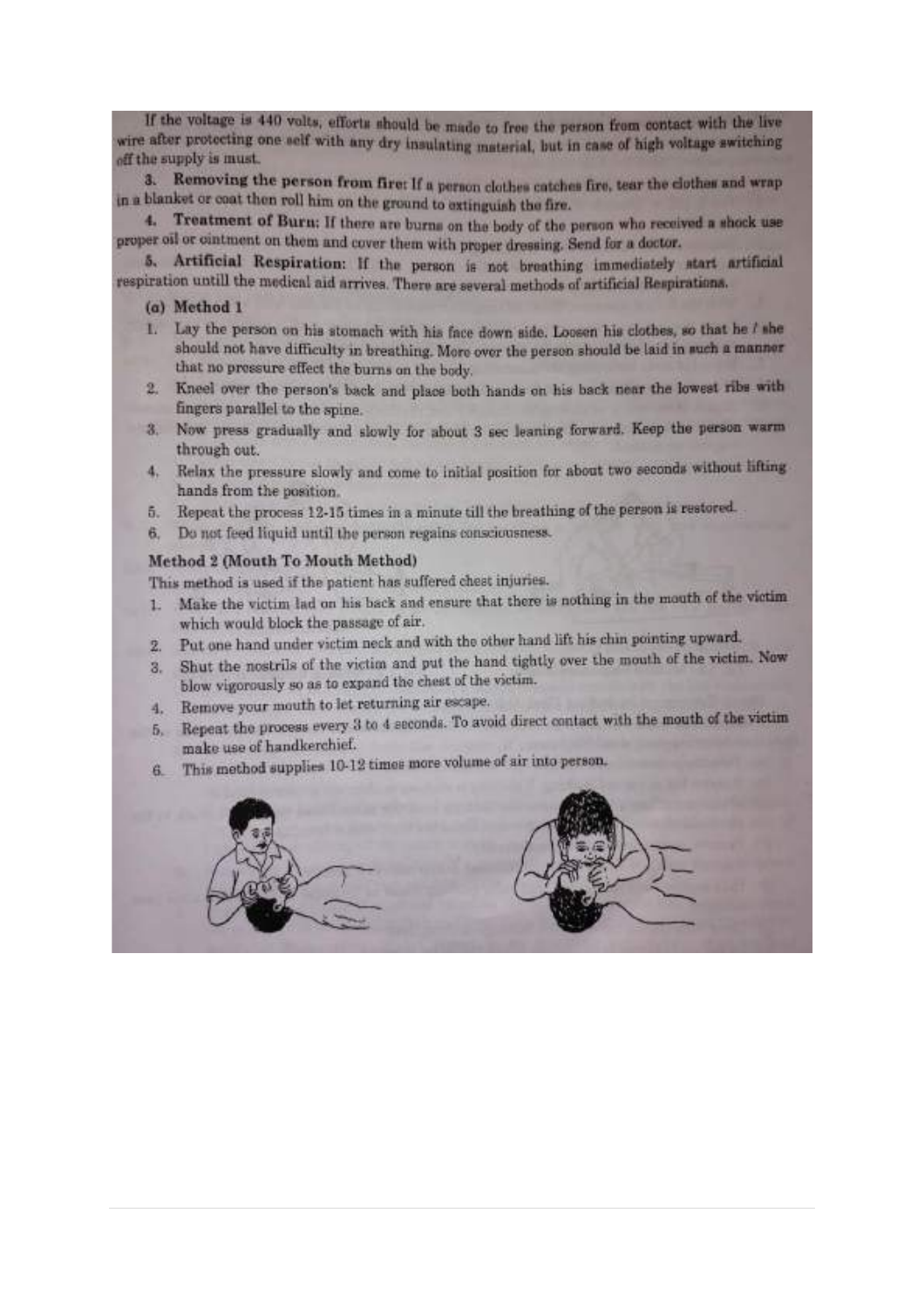If the voltage is 440 volts, efforts should be made to free the person from contact with the live wire after protecting one self with any dry insulating material, but in case of high voltage switching off the supply is must.

3. Removing the person from first If a person clothes catches fire, tear the clothes and wrap in a blanket or coat then roll him on the ground to extinguish the fire.

4. Treatment of Burn: If there are burns on the body of the person who received a shock use proper oil or cintment on them and cover them with proper dressing. Send for a doctor.

5. Artificial Respiration: If the person is not breathing immediately start artificial respiration untill the medical aid arrives. There are several methods of artificial Respirations.

#### (a) Method 1

- 1. Lay the person on his stomach with his face down side. Loosen his clothes, so that he I she should not have difficulty in breathing. More over the person should be laid in such a manner that no pressure effect the burns on the body.
- 2. Kneel over the person's back and place both hands on his back near the lowest ribs with fingers parallel to the spine.
- 3. Now press gradually and slowly for about 3 sec leaning forward. Keep the person warm through out.
- 4. Relax the pressure slowly and come to initial position for about two seconds without lifting hands from the position.
- Repeat the process 12-15 times in a minute till the breathing of the person is restored. 5.
- 6. Do not feed liquid until the person regains consciousness.

#### Method 2 (Mouth To Mouth Method)

This method is used if the patient has suffered chest injuries.

- Make the victim lad on his back and ensure that there is nothing in the mouth of the victim  $\mathbf{1}$ which would block the passage of air.
- Put one hand under victim neck and with the other hand lift his chin pointing upward.  $2.$
- Shut the nostrils of the victim and put the hand tightly over the mouth of the victim. Now 3. blow vigorously so as to expand the chest of the victim.
- 4. Remove your mouth to let returning air escape.
- 5. Repeat the process every 3 to 4 seconds. To avoid direct contact with the mouth of the victim make use of handkerchief.
- This method supplies 10-12 times more volume of air into person. 6.

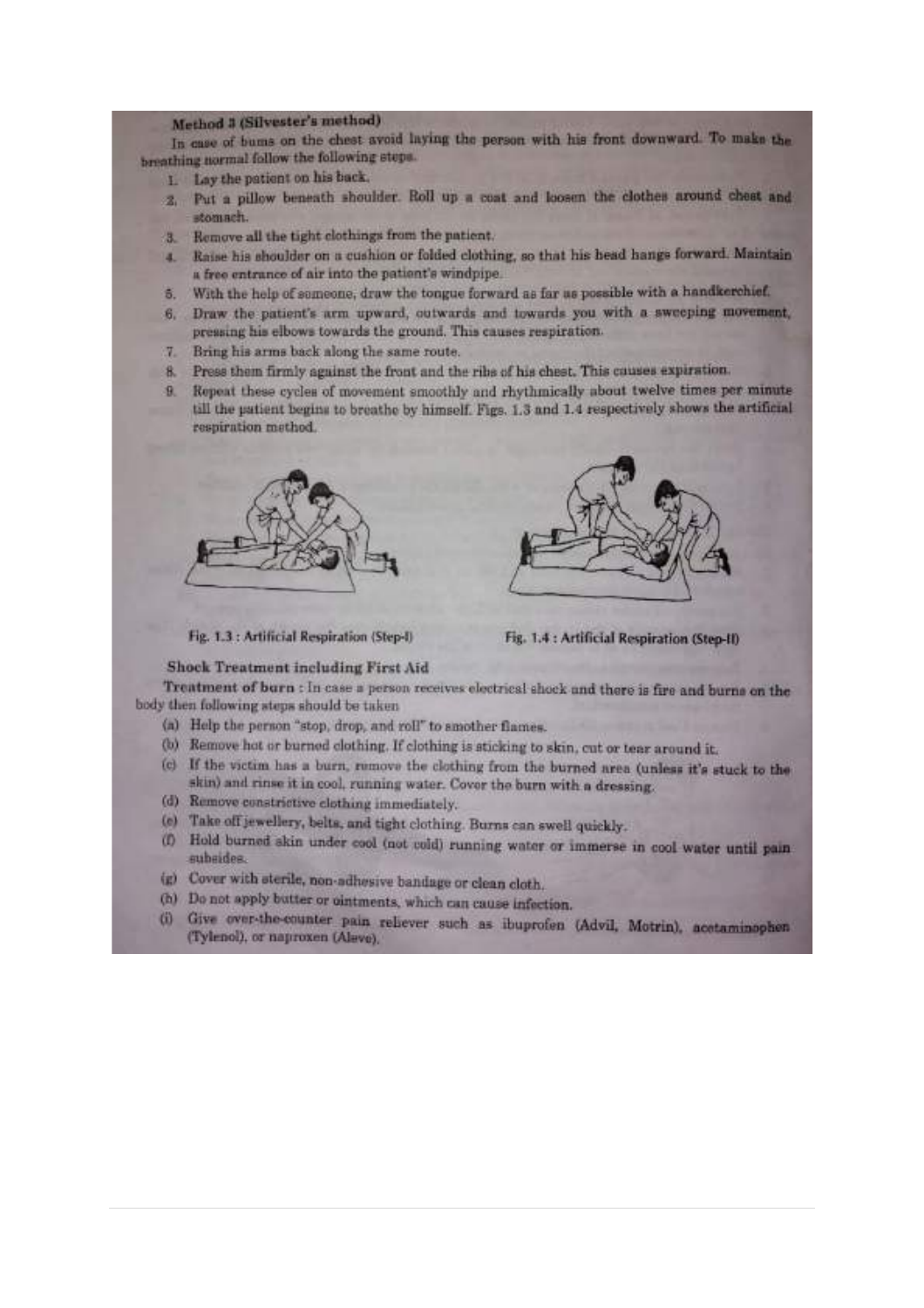#### Method 3 (Silvester's method)

In case of bums on the chest avoid laying the person with his front downward. To make the breathing normal follow the following steps.

- 1. Lay the patient on his back,
- 2. Put a pillow beneath shoulder. Roll up a coat and loosen the clothes around chest and stomach.
- 3. Remove all the tight clothings from the patient.
- 4. Raise his shoulder on a cushion or folded clothing, so that his head hangs forward. Maintain a free entrance of air into the patient's windpipe.
- With the help of semeone, draw the tongue forward as far as possible with a handkerchief. S.
- Draw the patient's arm upward, outwards and towards you with a sweeping movement, 6. pressing his elbows towards the ground. This causes respiration.
- Bring his arms back along the same route.  $7 -$
- 8. Press them firmly against the front and the ribs of his chest. This causes expiration.
- Repeat these cycles of movement smoothly and rhythmically about twelve times per minute  $\mathbf{R}$ till the patient begins to breathe by himself. Figs. 1.3 and 1.4 respectively shows the artificial respiration method.





Fig. 1.3 : Artificial Respiration (Step-I)

Fig. 1.4 : Artificial Respiration (Step-II)

#### **Shock Treatment including First Aid**

Treatment of burn : In case a person receives electrical shock and there is fire and burns on the body then following steps should be taken

- (a) Help the person "stop, drop, and roll" to amother flames.
- (b) Remove hot or burned clothing. If clothing is sticking to skin, cut or tear around it.
- (c) If the victim has a burn, remove the clothing from the burned area (unless it's stuck to the skin) and rinse it in cool, running water. Cover the burn with a dressing.
- (d) Remove constrictive clothing immediately.
- (e) Take off jewellery, belts, and tight clothing. Burns can swell quickly.
- (f) Hold burned skin under cool (not cold) running water or immerse in cool water until pain subsides.
- (g) Cover with sterile, non-adhesive bandage or clean cloth.
- (h) Do not apply butter or ointments, which can cause infection.
- (i) Give over-the-counter pain reliever such as ibuprofen (Advil, Motrin), acetaminophen (Tylenol), or naproxen (Alevo).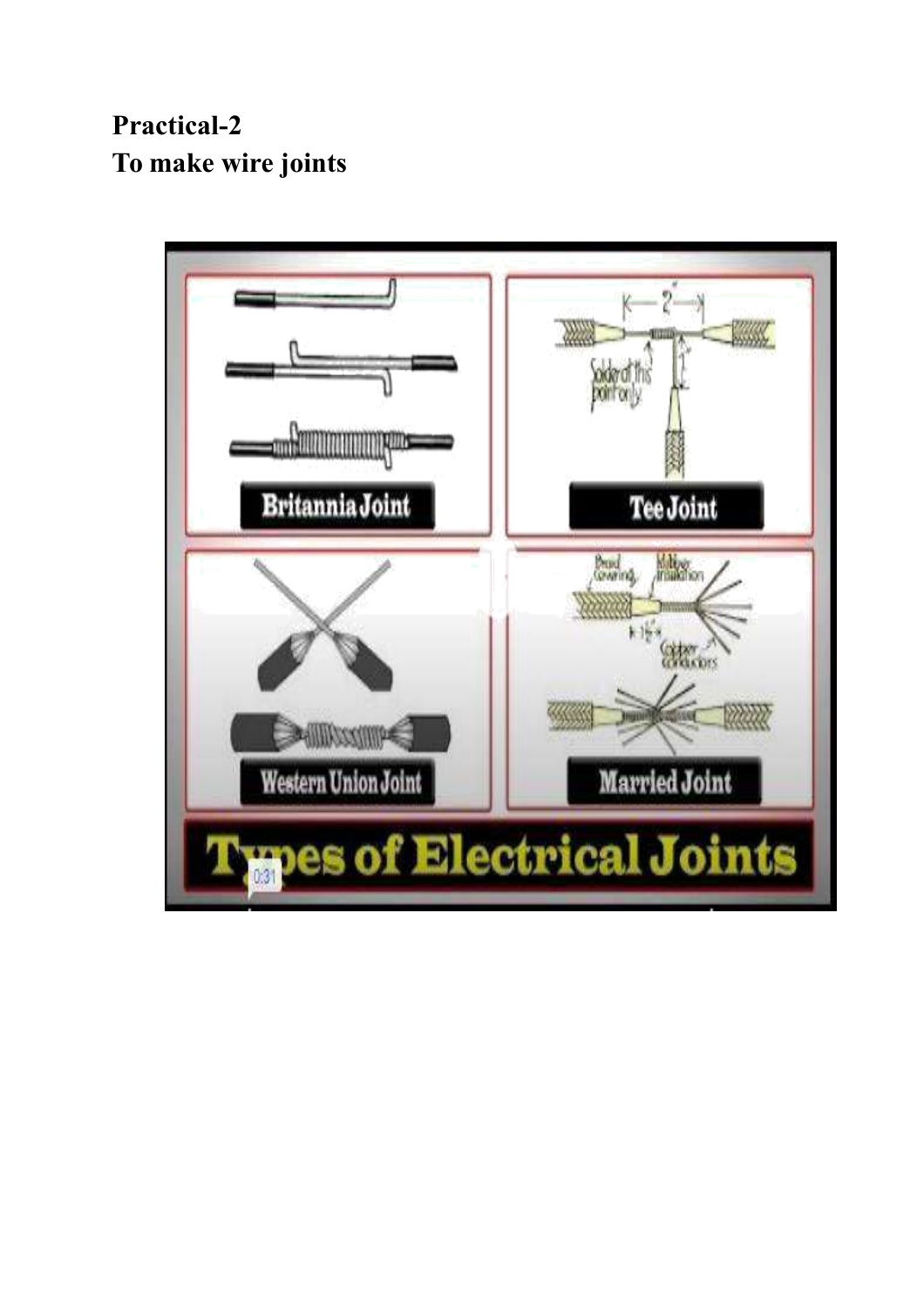**Practical-2 To make wire joints**

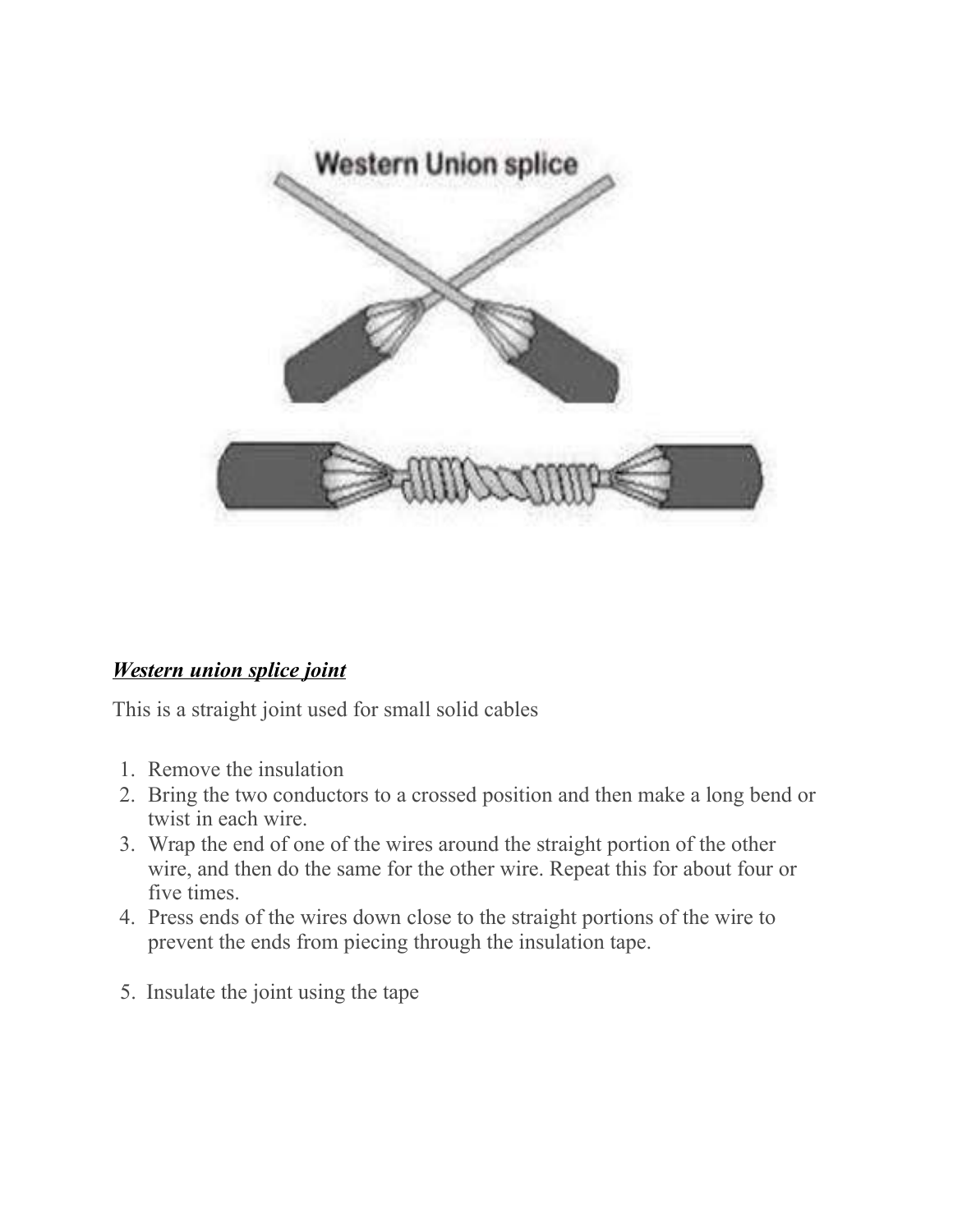

## *Western union splice joint*

This is a straight joint used for small solid cables

- 1. Remove the insulation
- 2. Bring the two conductors to a crossed position and then make a long bend or twist in each wire.
- 3. Wrap the end of one of the wires around the straight portion of the other wire, and then do the same for the other wire. Repeat this for about four or five times.
- 4. Press ends of the wires down close to the straight portions of the wire to prevent the ends from piecing through the insulation tape.
- 5. Insulate the joint using the tape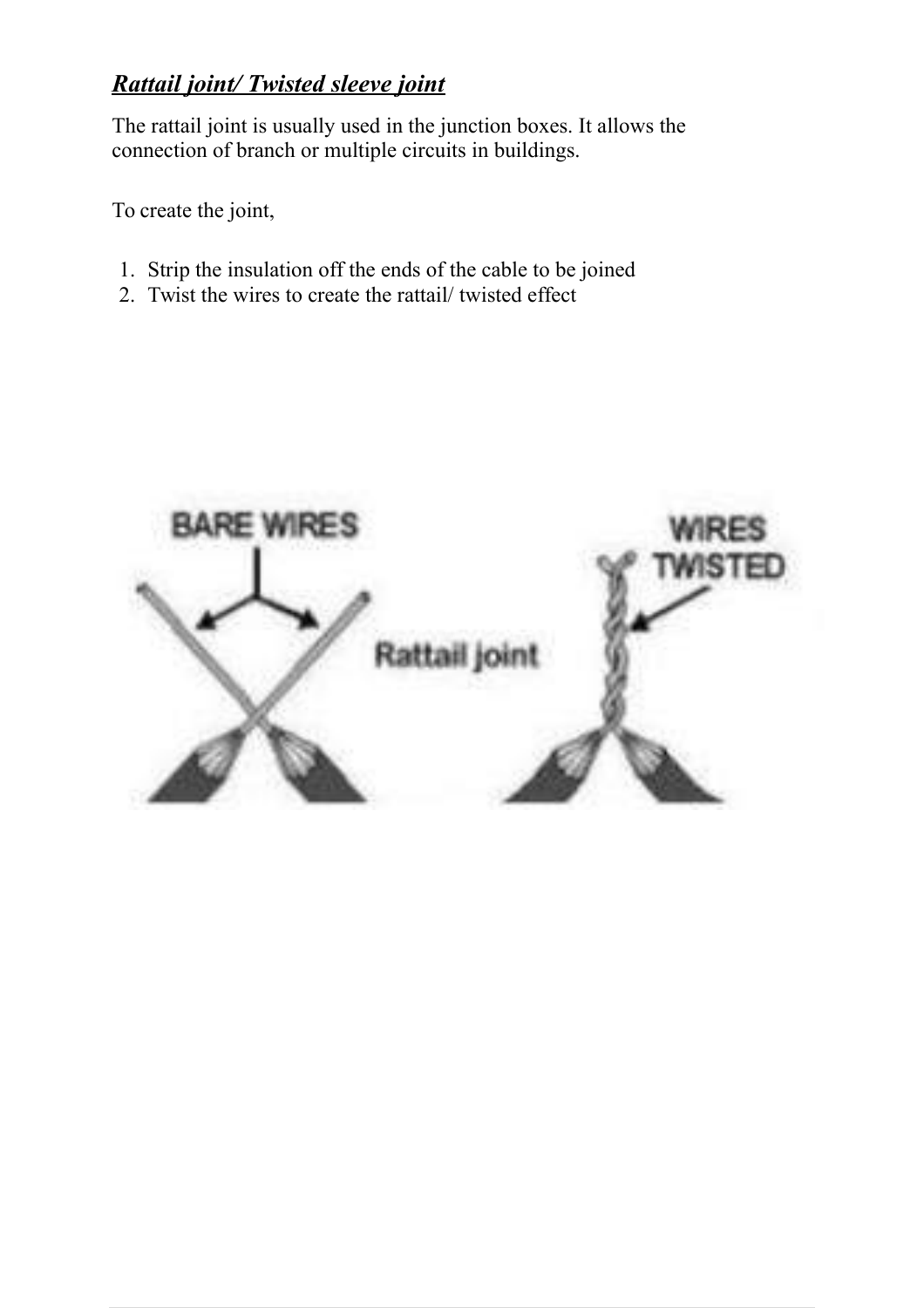## *Rattail joint/ Twisted sleeve joint*

The rattail joint is usually used in the junction boxes. It allows the connection of branch or multiple circuits in buildings.

To create the joint,

- 1. Strip the insulation off the ends of the cable to be joined
- 2. Twist the wires to create the rattail/ twisted effect

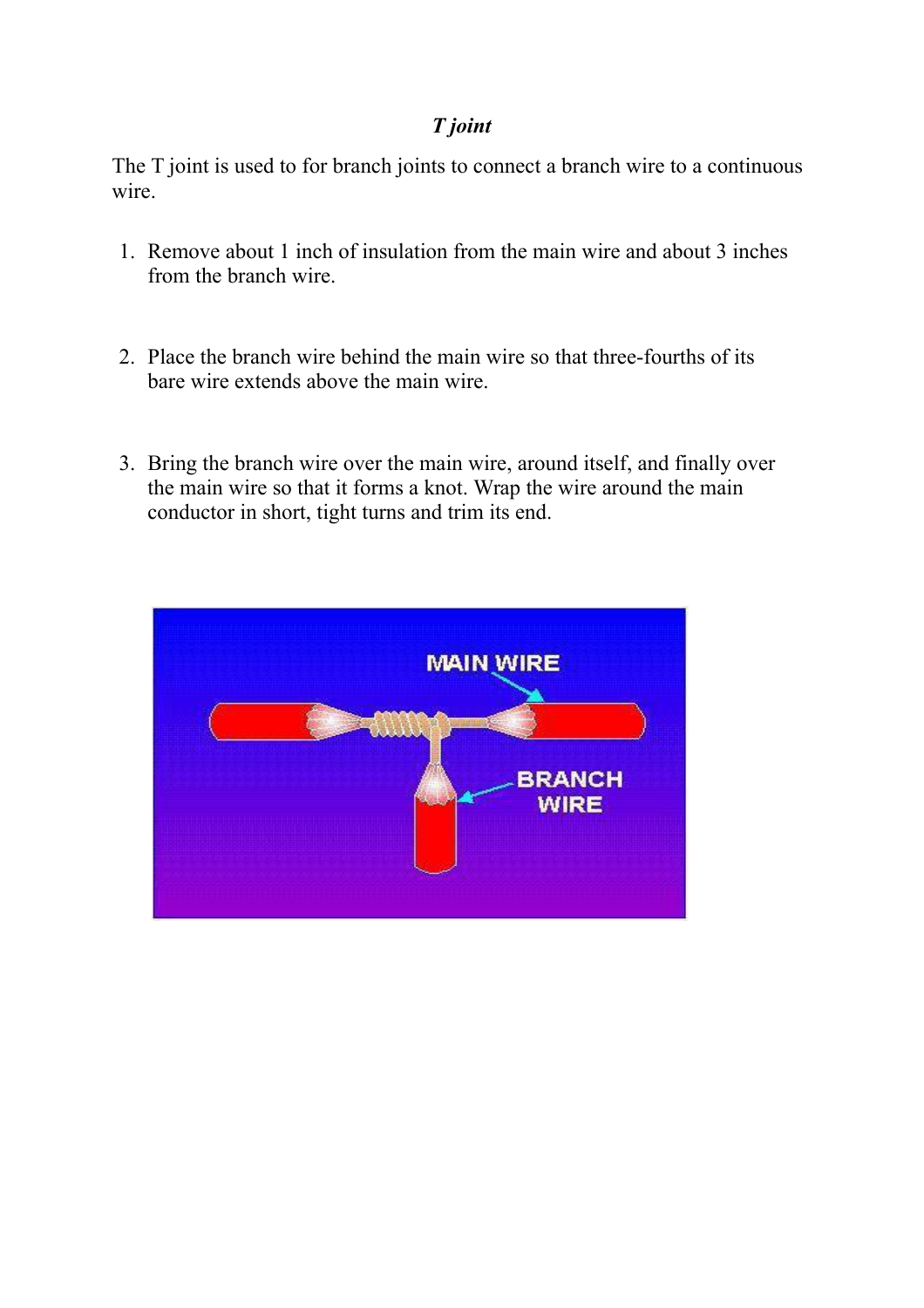## *T joint*

The T joint is used to for branch joints to connect a branch wire to a continuous wire.

- 1. Remove about 1 inch of insulation from the main wire and about 3 inches from the branch wire.
- 2. Place the branch wire behind the main wire so that three-fourths of its bare wire extends above the main wire.
- 3. Bring the branch wire over the main wire, around itself, and finally over the main wire so that it forms a knot. Wrap the wire around the main conductor in short, tight turns and trim its end.

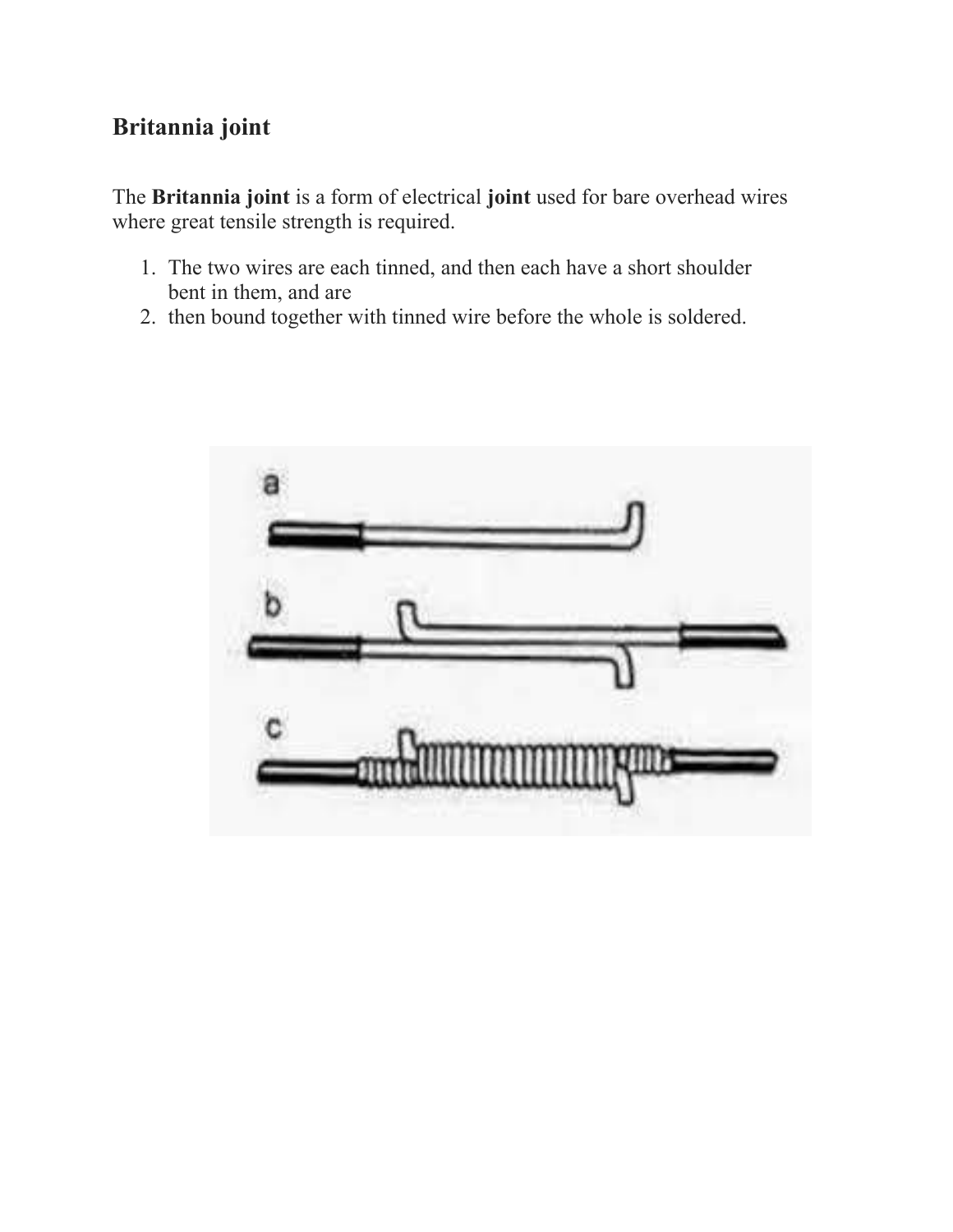## **Britannia joint**

The **Britannia joint** is a form of electrical **joint** used for bare overhead wires where great tensile strength is required.

- 1. The two wires are each tinned, and then each have a short shoulder bent in them, and are
- 2. then bound together with tinned wire before the whole is soldered.

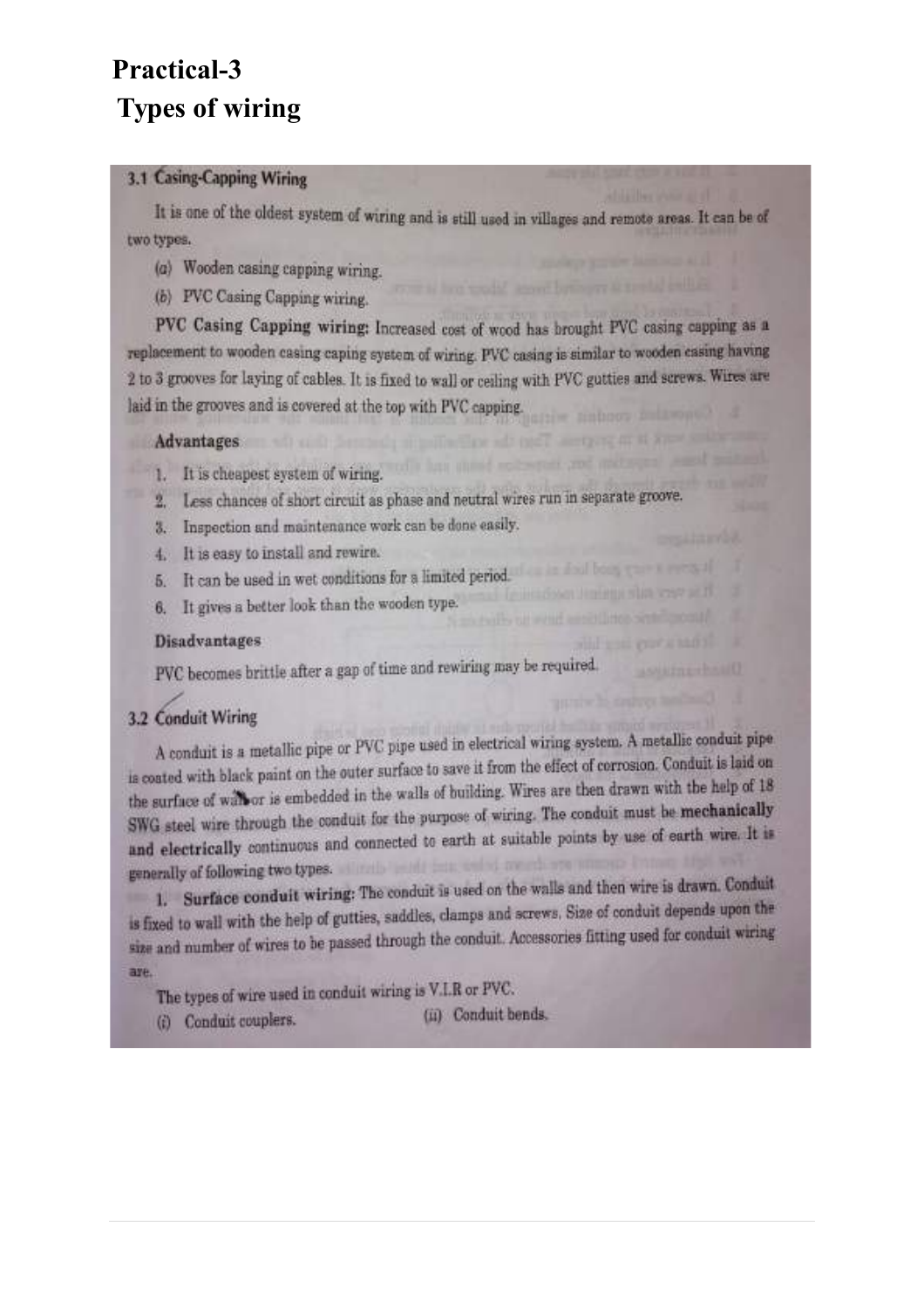# **Practical-3 Types of wiring**

### 3.1 Casing-Capping Wiring

It is one of the oldest system of wiring and is still used in villages and remote areas. It can be of two types.

- (a) Wooden casing capping wiring.
- (b) PVC Casing Capping wiring.

PVC Casing Capping wiring: Increased cost of wood has brought PVC casing capping as a replacement to wooden casing caping system of wiring. PVC casing is similar to wooden casing having 2 to 3 grooves for laying of cables. It is fixed to wall or ceiling with PVC gutties and screws. Wires are laid in the grooves and is covered at the top with PVC capping.

#### Advantages and all the state of the state of the

- 1. It is cheapest system of wiring.
- 2. Less chances of short circuit as phase and neutral wires run in separate groove.
- 3. Inspection and maintenance work can be done easily.
- 4. It is easy to install and rewire.
- It can be used in wet conditions for a limited period.  $5.$
- It gives a better look than the wooden type. 6.

#### **Disadvantages**

PVC becomes brittle after a gap of time and rewiring may be required.

### 3.2 Conduit Wiring

A conduit is a metallic pipe or PVC pipe used in electrical wiring system. A metallic conduit pipe is coated with black paint on the outer surface to save it from the effect of corrosion. Conduit is laid on the surface of wall or is embedded in the walls of building. Wires are then drawn with the help of 18 SWG steel wire through the conduit for the purpose of wiring. The conduit must be mechanically and electrically continuous and connected to earth at suitable points by use of earth wire. It is generally of following two types. Which have been assessed to the

1. Surface conduit wiring: The conduit is used on the walls and then wire is drawn. Conduit is fixed to wall with the help of gutties, saddles, clamps and screws. Size of conduit depends upon the size and number of wires to be passed through the conduit. Accessories fitting used for conduit wiring are.

The types of wire used in conduit wiring is V.I.R or PVC.

- (i) Conduit couplers.
- (ii) Conduit bends.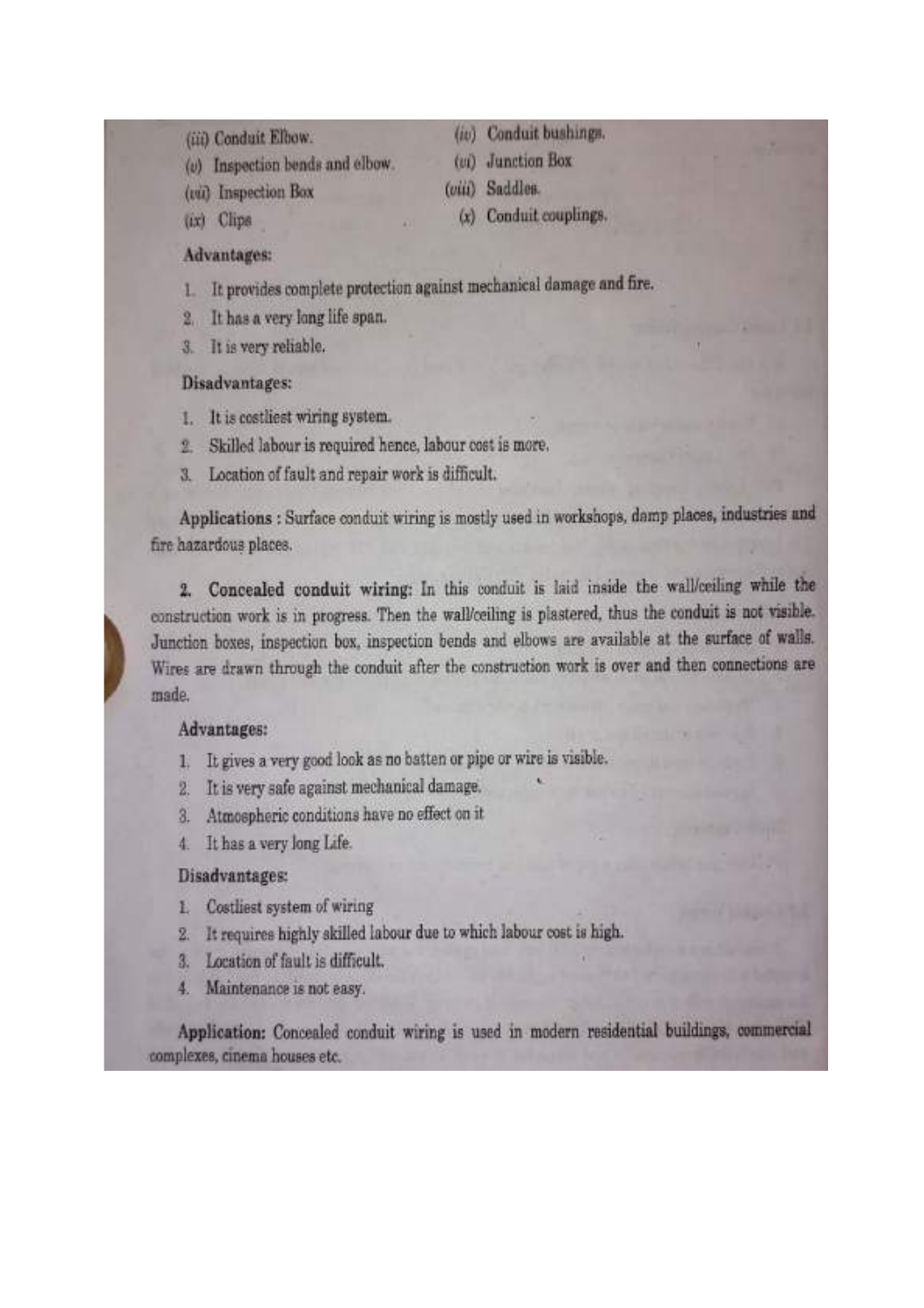- (iii) Conduit Elbow.
- (v) Inspection bends and elbow.
- (vii) Inspection Box
- (ix) Clips
- (iv) Conduit bushings.
- (vi) Junction Box
- (viii) Saddles.
	- (x) Conduit couplings.

#### Advantages:

- It provides complete protection against mechanical damage and fire. L
- It has a very long life span.  $2 -$
- It is very reliable.  $3$

#### Disadvantages:

- 1. It is costliest wiring system.
- Skilled labour is required hence, labour cost is more. 丞
- Location of fault and repair work is difficult. 3.

Applications : Surface conduit wiring is mostly used in workshops, damp places, industries and fire hazardous places.

2. Concealed conduit wiring: In this conduit is laid inside the wall/ceiling while the construction work is in progress. Then the wall/ceiling is plastered, thus the conduit is not visible. Junction boxes, inspection box, inspection bends and elbows are available at the surface of walls. Wires are drawn through the conduit after the construction work is over and then connections are made.

#### Advantages:

- It gives a very good look as no batten or pipe or wire is visible. E
- It is very safe against mechanical damage. 2.
- Atmospheric conditions have no effect on it.  $3.$
- It has a very long Life. 4.

#### Disadvantages:

- Costliest system of wiring £.
- It requires highly skilled labour due to which labour cost is high.  $2.5$
- Location of fault is difficult. 3.
- Maintenance is not easy. 4.

Application: Concealed conduit wiring is used in modern residential buildings, commercial complexes, cinema houses etc.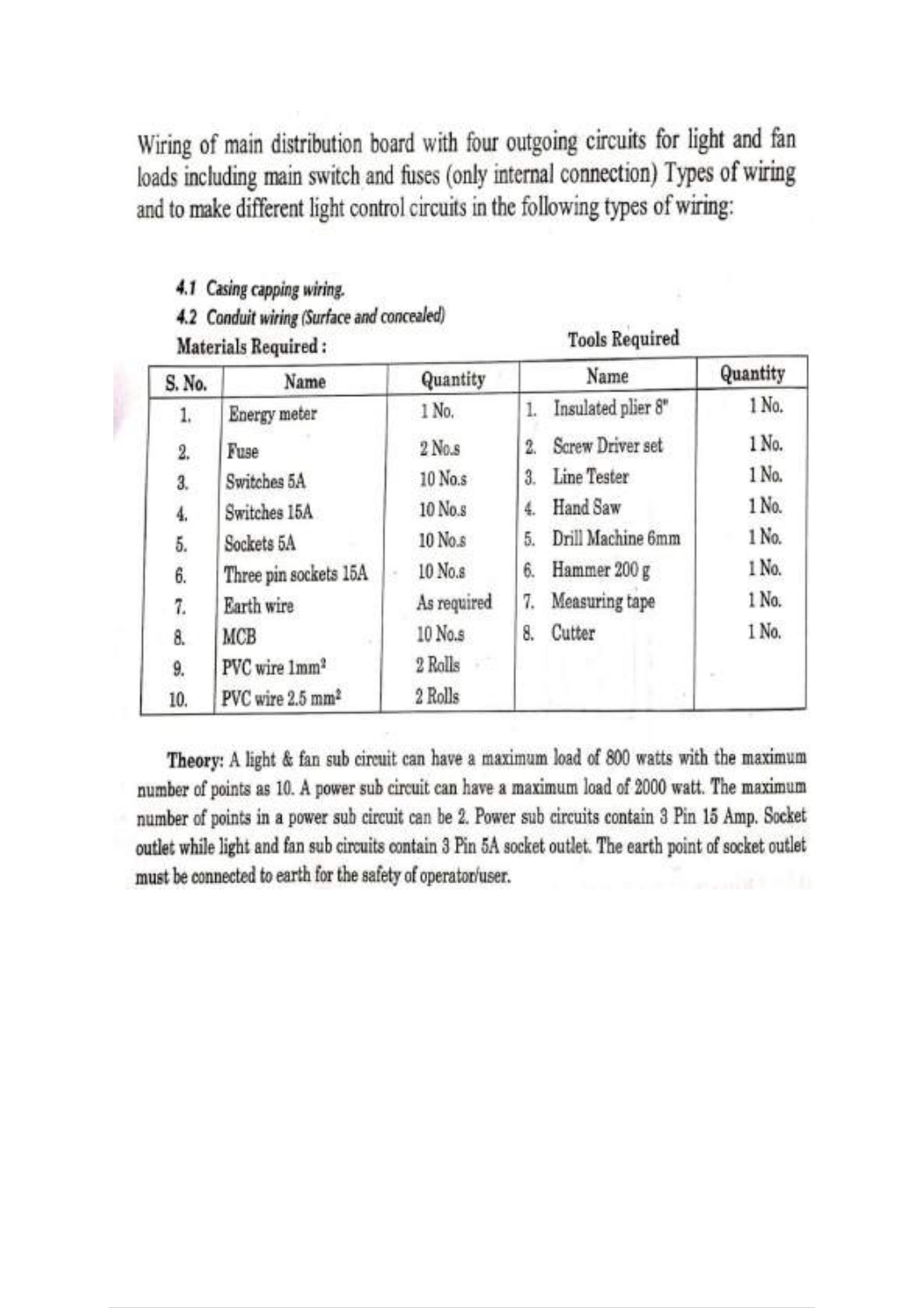Wiring of main distribution board with four outgoing circuits for light and fan loads including main switch and fuses (only internal connection) Types of wiring and to make different light control circuits in the following types of wiring:

4.1 Casing capping wiring. 4.2 Conduit wiring (Surface and concealed)

Materials Required:

**Tools Required** 

| S. No. | Name                         | Quantity    | Name                    | Quantity |
|--------|------------------------------|-------------|-------------------------|----------|
| 1.     | Energy meter                 | 1 No.       | Insulated plier 8"      | 1 No.    |
| 2.     | Fuse                         | $2$ No.s    | Screw Driver set<br>2.  | 1 No.    |
| 3.     | Switches 5A                  | 10 No.s     | Line Tester<br>3.       | 1 No.    |
| 4.     | Switches 15A                 | 10 No.s     | Hand Saw<br>4.          | 1 No.    |
| 5.     | Sockets 5A                   | 10 No.s     | Drill Machine 6mm<br>5. | 1 No.    |
| 6.     | Three pin sockets 15A        | 10 No.s     | Hammer 200 g<br>6.      | 1 No.    |
| 7.     | Earth wire                   | As required | Measuring tape<br>7.    | 1 No.    |
| 8.     | MCB                          | 10 No.s     | Cutter<br>8.            | 1 No.    |
| 9.     | PVC wire 1mm <sup>2</sup>    | 2 Rolls     |                         |          |
| 10.    | PVC wire 2.5 mm <sup>2</sup> | 2 Rolls     |                         |          |

Theory: A light & fan sub circuit can have a maximum load of 800 watts with the maximum number of points as 10. A power sub circuit can have a maximum load of 2000 watt. The maximum number of points in a power sub circuit can be 2. Power sub circuits contain 3 Pin 15 Amp. Socket outlet while light and fan sub circuits contain 3 Pin 5A socket outlet. The earth point of socket outlet must be connected to earth for the safety of operator/user.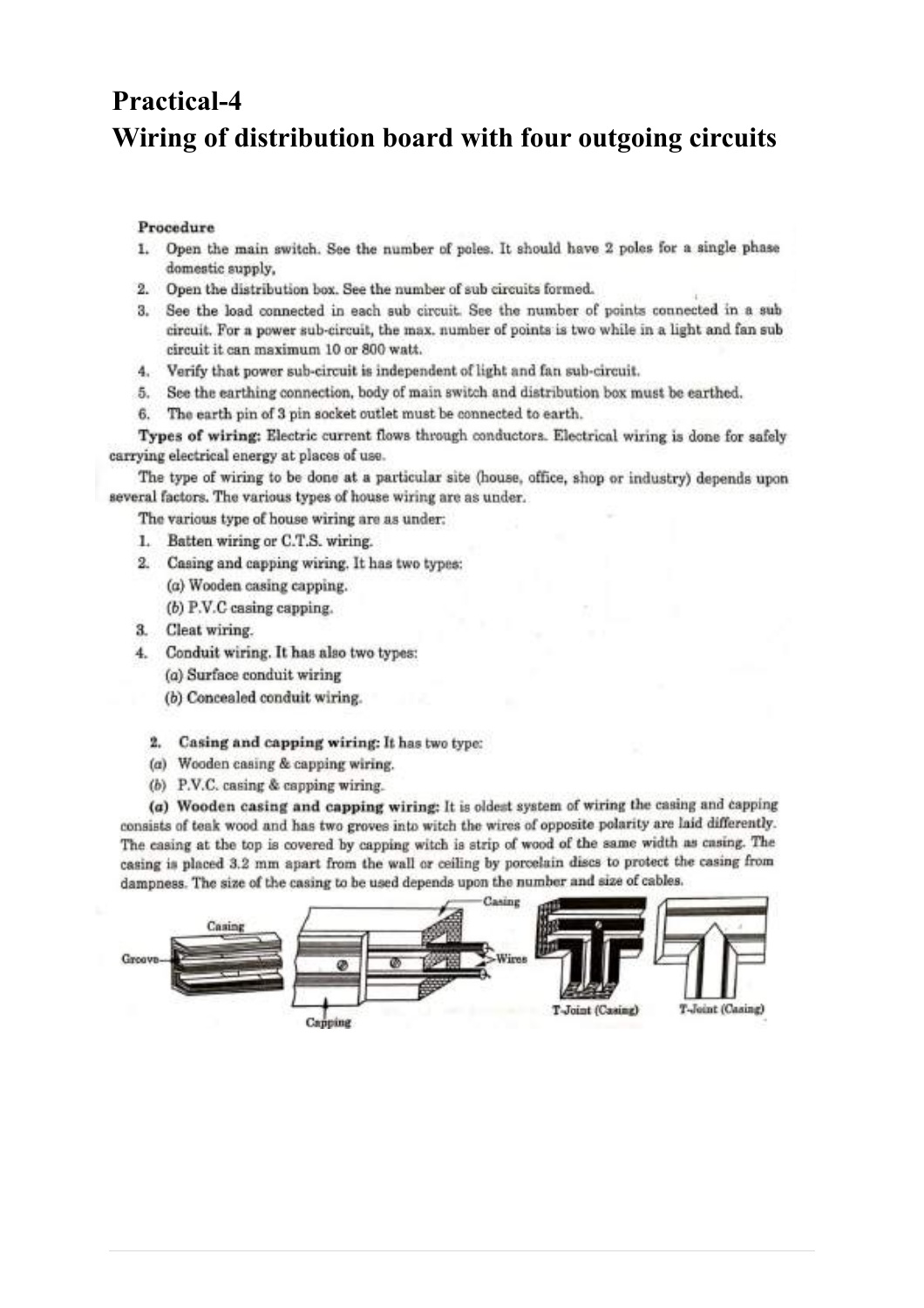# **Practical-4** Wiring of distribution board with four outgoing circuits

#### Procedure

- 1. Open the main switch. See the number of poles. It should have 2 poles for a single phase domestic supply,
- 2. Open the distribution box. See the number of sub circuits formed.
- 3. See the load connected in each sub circuit. See the number of points connected in a sub circuit. For a power sub-circuit, the max. number of points is two while in a light and fan sub circuit it can maximum 10 or 800 watt.
- 4. Verify that power sub-circuit is independent of light and fan sub-circuit.
- 5. See the earthing connection, body of main switch and distribution box must be earthed.
- 6. The earth pin of 3 pin socket outlet must be connected to earth.

Types of wiring: Electric current flows through conductors. Electrical wiring is done for safely carrying electrical energy at places of use.

The type of wiring to be done at a particular site (house, office, shop or industry) depends upon several factors. The various types of house wiring are as under.

The various type of house wiring are as under:

- 1. Batten wiring or C.T.S. wiring.
- 2. Casing and capping wiring. It has two types: (a) Wooden casing capping.  $(b)$  P.V.C casing capping.
- 3. Cleat wiring.
- 4. Conduit wiring. It has also two types:
	- (a) Surface conduit wiring
	- (b) Concealed conduit wiring.
	- 2. Casing and capping wiring: It has two type:
	- (a) Wooden casing & capping wiring.
	- (b)  $P.V.C.$  casing & capping wiring.

(a) Wooden casing and capping wiring: It is oldest system of wiring the casing and capping consists of teak wood and has two groves into witch the wires of opposite polarity are laid differently. The casing at the top is covered by capping witch is strip of wood of the same width as casing. The casing is placed 3.2 mm apart from the wall or ceiling by porcelain discs to protect the casing from dampness. The size of the casing to be used depends upon the number and size of cables.

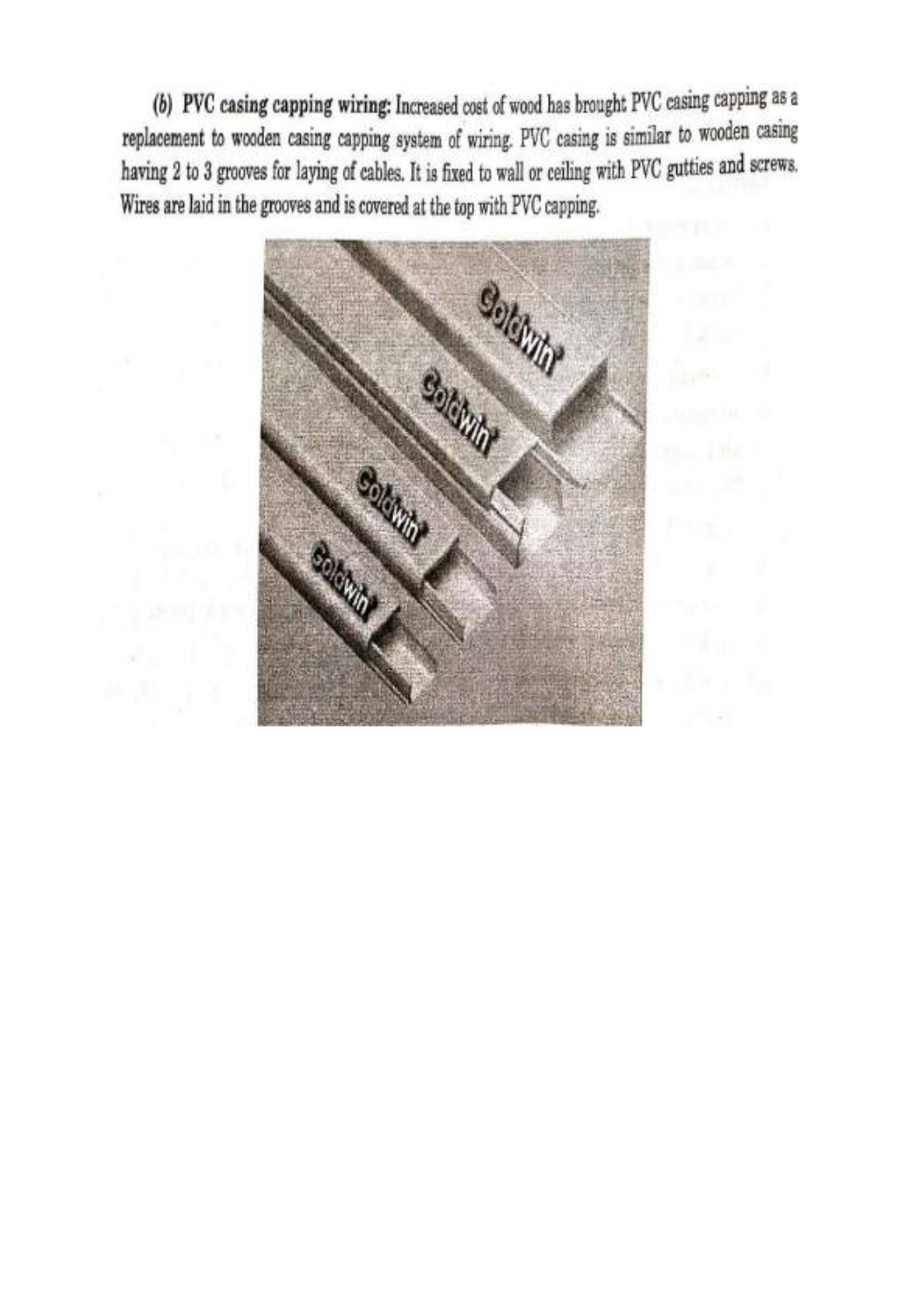(b) PVC casing capping wiring: Increased cost of wood has brought PVC casing capping as a replacement to wooden casing capping system of wiring. PVC casing is similar to wooden casing having 2 to 3 grooves for laying of cables. It is fixed to wall or ceiling with PVC gutties and screws. Wires are laid in the grooves and is covered at the top with PVC capping.

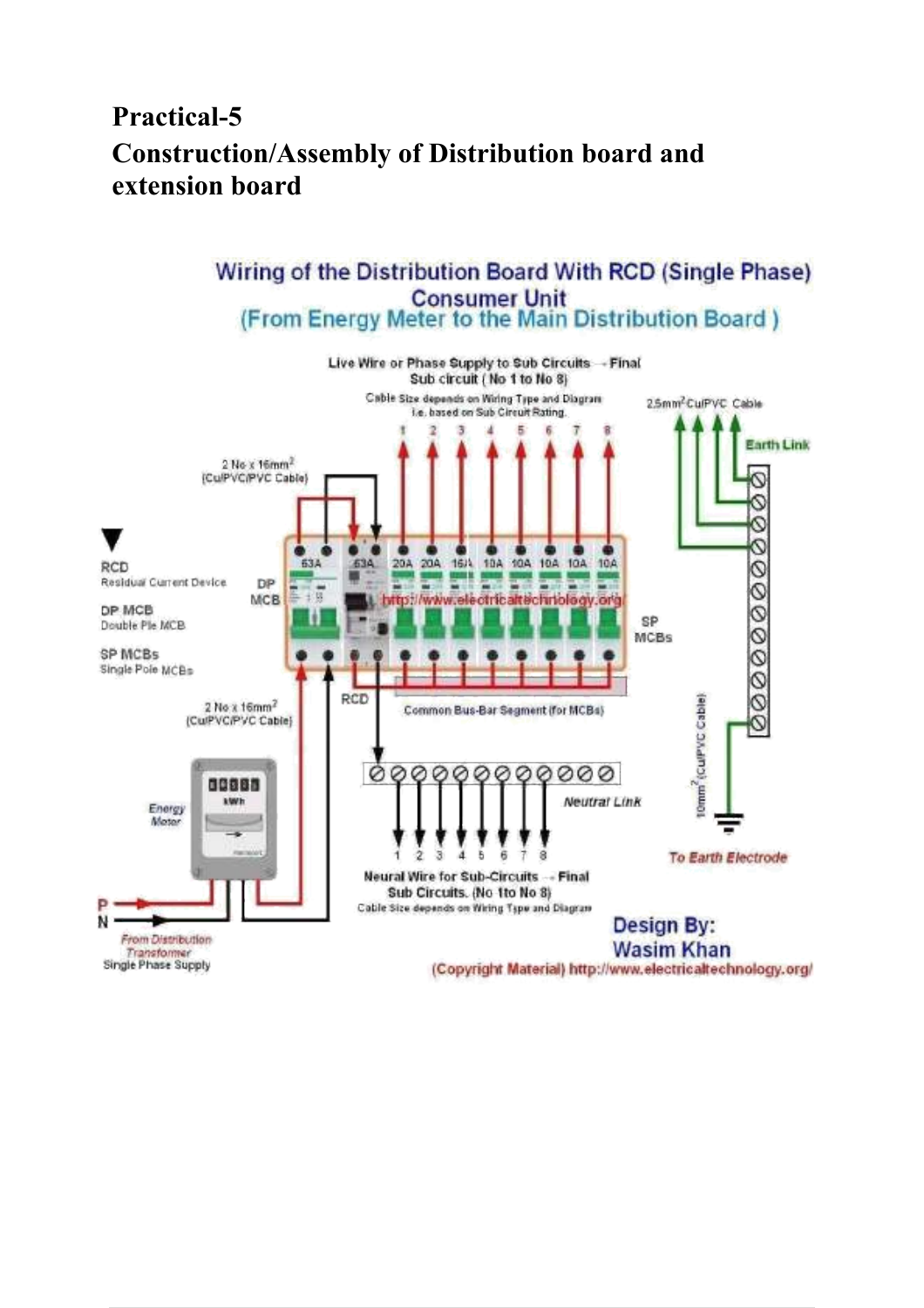# **Practical-5 Construction/Assembly of Distribution board and extension board**

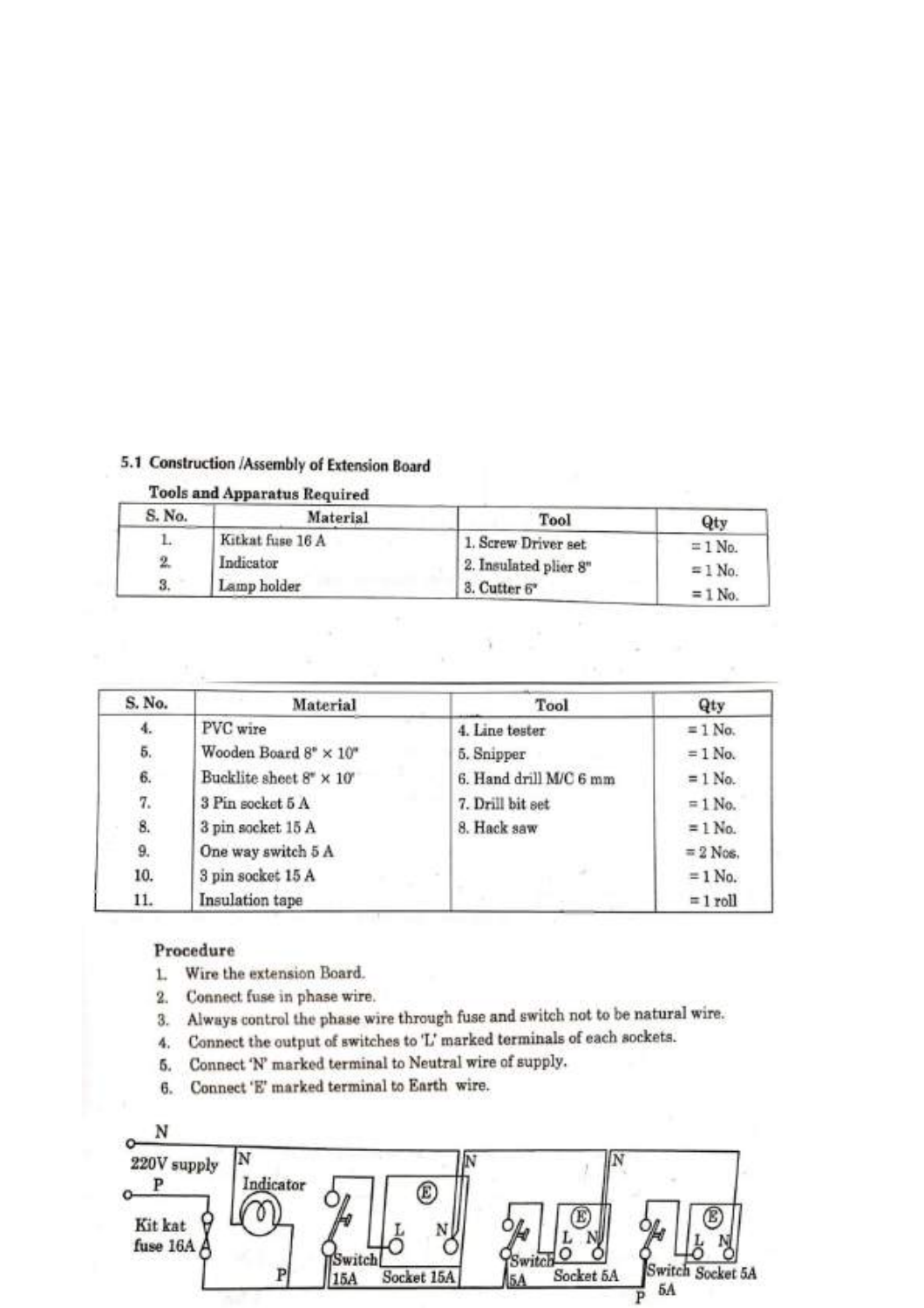## 5.1 Construction /Assembly of Extension Board

### **Tools and Apparatus Required**

| S. No. | Material         | Tool                  | Qty            |
|--------|------------------|-----------------------|----------------|
|        | Kitkat fuse 16 A | 1. Screw Driver set   | $= 1$ No.      |
|        | Indicator        | 2. Insulated plier 8" | $\equiv$ 1 No. |
| 3.     | Lamp holder      | 3. Cutter 6*          | $= 1$ No.      |

n.

| S. No. | Material                                   | Tool                   | Qty            |
|--------|--------------------------------------------|------------------------|----------------|
| 4.     | PVC wire                                   | 4. Line tester         | $\equiv$ 1 No. |
| 5.     | Wooden Board $8^{\circ} \times 10^{\circ}$ | 5. Snipper             | $= 1$ No.      |
| 6.     | Bucklite sheet 8" × 10"                    | 6. Hand drill M/C 6 mm | $= 1$ No.      |
| 7.     | 3 Pin socket 5 A                           | 7. Drill bit set       | $= 1$ No.      |
| 8.     | 3 pin socket 15 A                          | 8. Hack saw            | $= 1$ No.      |
| 9.     | One way switch 5 A                         |                        | $= 2$ Nos.     |
| 10.    | 3 pin socket 15 A                          |                        | $= 1$ No.      |
| 11.    | Insulation tape                            |                        | $= 1$ roll     |

#### Procedure

- L. Wire the extension Board.
- 2. Connect fuse in phase wire.
- 3. Always control the phase wire through fuse and switch not to be natural wire.
- 4. Connect the output of switches to 'L' marked terminals of each sockets.
- 5. Connect 'N' marked terminal to Neutral wire of supply.
- 6. Connect 'E' marked terminal to Earth wire.

| 220V supply           |           |     |            |           |                        |
|-----------------------|-----------|-----|------------|-----------|------------------------|
|                       | Indicator |     |            |           |                        |
| Kit kat<br>fuse 16A A |           |     |            |           |                        |
|                       |           | 15A | Socket 15A | Socket 5A | Switch Socket 5A<br>5A |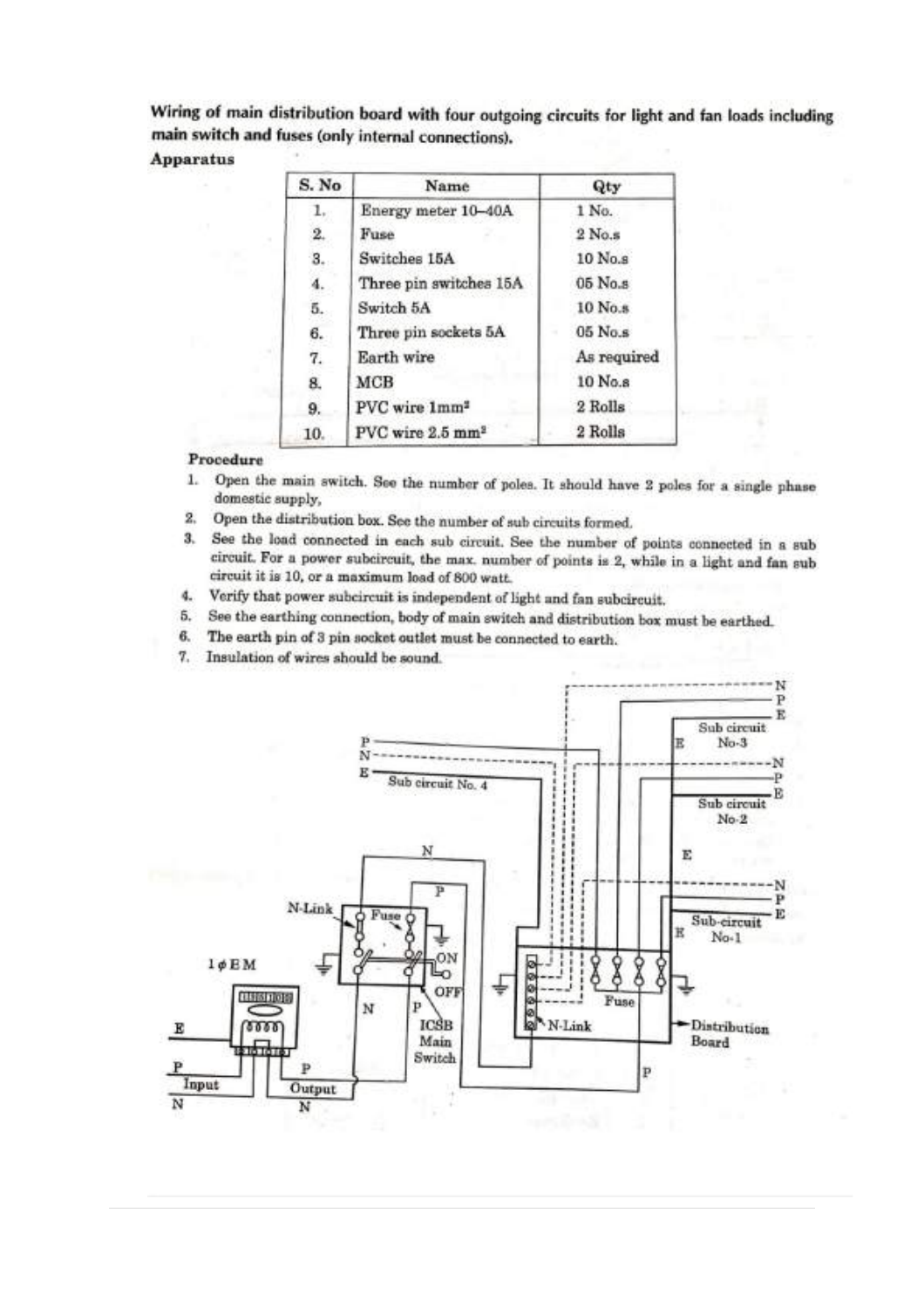Wiring of main distribution board with four outgoing circuits for light and fan loads including main switch and fuses (only internal connections).

#### **Apparatus**

| S. No              | Name                         | Qty         |
|--------------------|------------------------------|-------------|
| $\mathbb{1}_{+}$ . | Energy meter 10-40A          | 1 No.       |
| 2.                 | Fuse                         | $2$ No.s    |
| 3.                 | Switches 15A                 | 10 No.s     |
| 4.                 | Three pin switches 15A       | $05$ No.s.  |
| 5.                 | Switch 5A                    | 10 No.s.    |
| 6.                 | Three pin sockets 5A         | $05$ No.s.  |
| 7.                 | Earth wire                   | As required |
| 8.                 | MCB                          | 10 No.s     |
| 9.                 | PVC wire 1mm <sup>2</sup>    | 2 Rolls     |
| 10.                | PVC wire 2.5 mm <sup>2</sup> | 2 Rolls     |

#### Procedure

- 1. Open the main switch. See the number of poles. It should have 2 poles for a single phase domestic supply,
- 2. Open the distribution box. See the number of sub circuits formed.
- 3. See the load connected in each sub circuit. See the number of points connected in a sub circuit. For a power subcircuit, the max. number of points is 2, while in a light and fan sub circuit it is 10, or a maximum load of 800 watt.
- 4. Verify that power subcircuit is independent of light and fan subcircuit.
- 5. See the earthing connection, body of main switch and distribution box must be earthed.
- 6. The earth pin of 3 pin socket outlet must be connected to earth.
- 7. Insulation of wires should be sound.

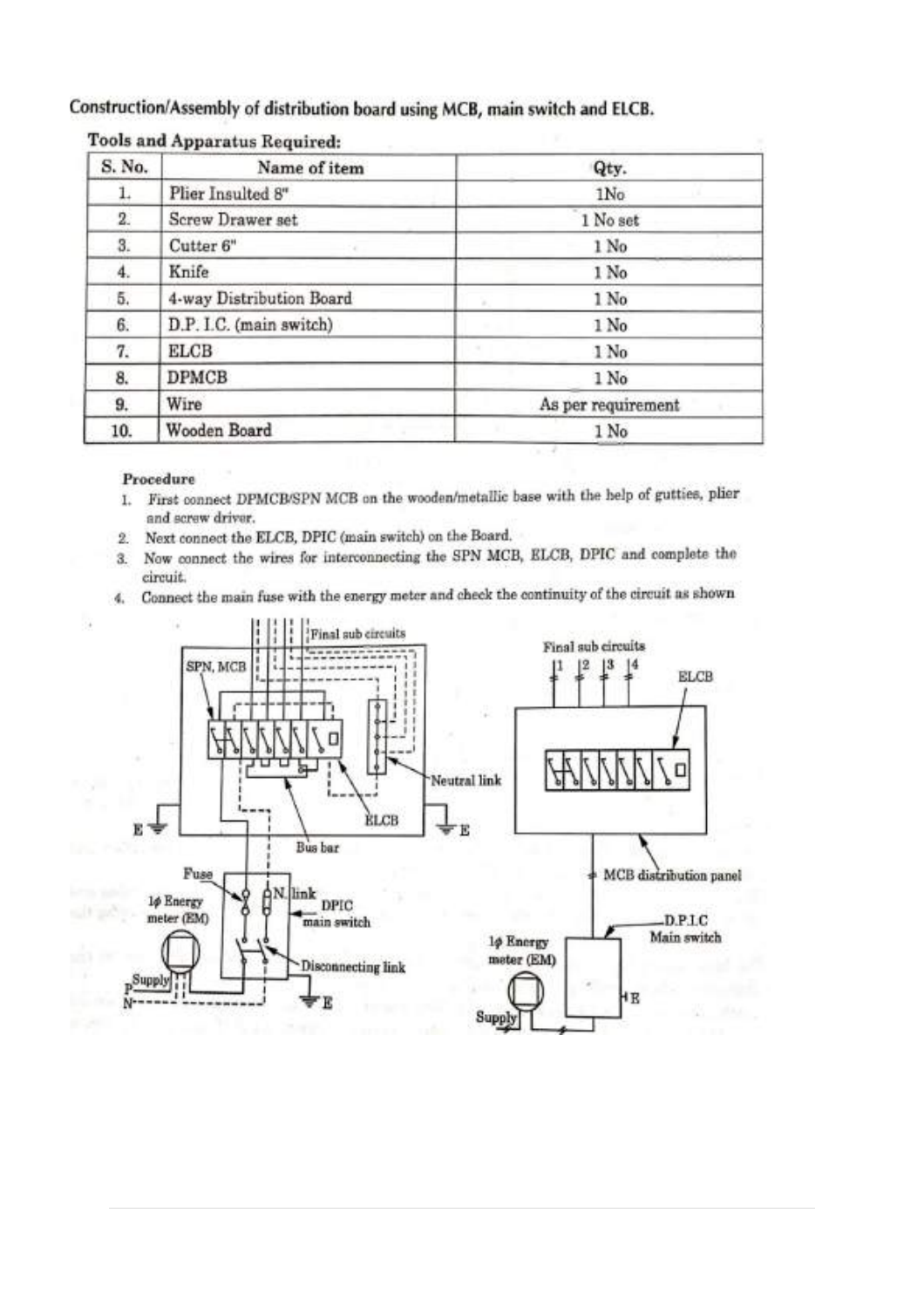### Construction/Assembly of distribution board using MCB, main switch and ELCB.

| S. No. | Name of item             | Qty.               |
|--------|--------------------------|--------------------|
| 1.     | Plier Insulted 8"        | 1No                |
| 2.     | Screw Drawer set         | 1 No set           |
| 3.     | Cutter <sub>6"</sub>     | 1 No               |
| 4.     | Knife                    | 1 No               |
| 5.     | 4-way Distribution Board | 1 No               |
| 6.     | D.P. I.C. (main switch)  | 1 No.              |
| 7.     | ELCB                     | 1 No               |
| 8.     | <b>DPMCB</b>             | 1 No               |
| 9.     | Wire                     | As per requirement |
| 10.    | Wooden Board             | 1 No               |

### **Tools and Apparatus Required:**

#### Procedure

- 1. First connect DPMCB/SPN MCB on the wooden/metallic base with the help of gutties, plier and screw driver.
- 2. Next connect the ELCB, DPIC (main switch) on the Board.
- Now connect the wires for interconnecting the SPN MCB, ELCB, DPIC and complete the  $\overline{3}$ . circuit.
- 4. Connect the main fuse with the energy meter and check the continuity of the circuit as shown

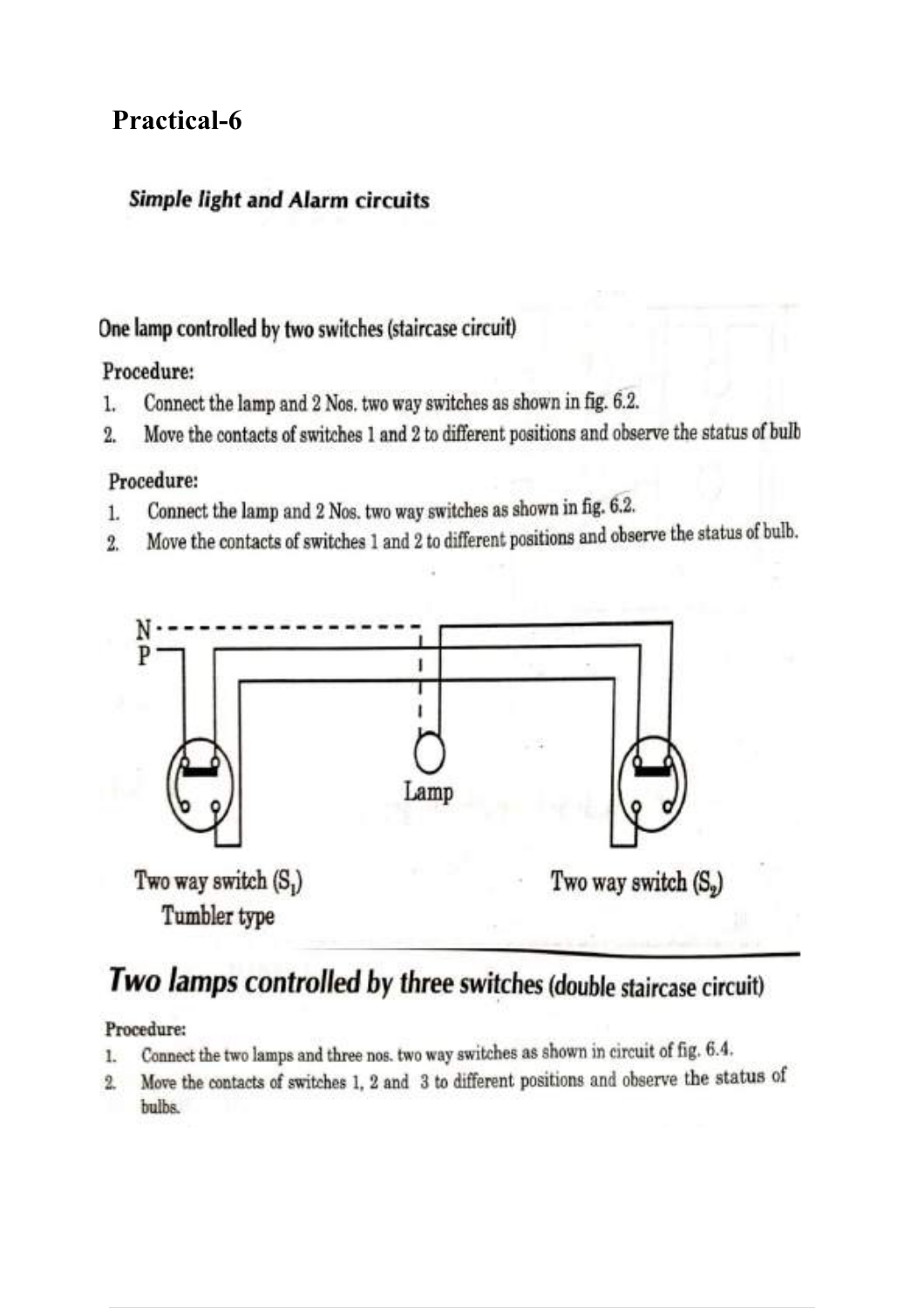## **Practical-6**

## **Simple light and Alarm circuits**

## One lamp controlled by two switches (staircase circuit)

## Procedure:

- Connect the lamp and 2 Nos. two way switches as shown in fig. 6.2.  $\mathbf{L}$
- Move the contacts of switches 1 and 2 to different positions and observe the status of bulb  $\overline{2}$

## Procedure:

- Connect the lamp and 2 Nos. two way switches as shown in fig. 6.2.  $\mathbf{1}$
- Move the contacts of switches 1 and 2 to different positions and observe the status of bulb.  $\overline{2}$



# Two lamps controlled by three switches (double staircase circuit)

### Procedure:

- Connect the two lamps and three nos. two way switches as shown in circuit of fig. 6.4. 1.
- Move the contacts of switches 1, 2 and 3 to different positions and observe the status of  $\mathbf{2}$ bulbs.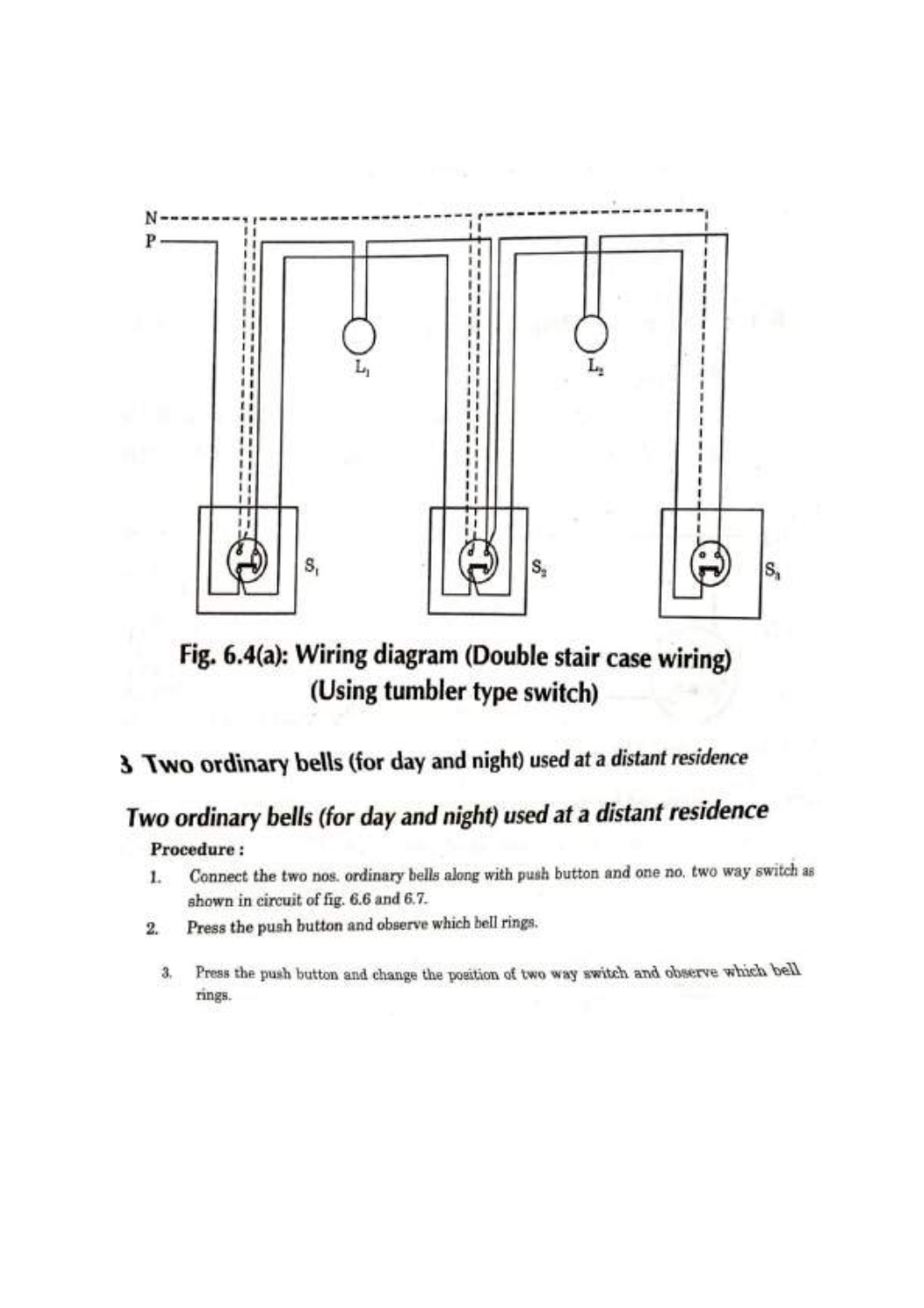

Fig. 6.4(a): Wiring diagram (Double stair case wiring) (Using tumbler type switch)

# 3 Two ordinary bells (for day and night) used at a distant residence

# Two ordinary bells (for day and night) used at a distant residence

### Procedure:

- Connect the two nos. ordinary bells along with push button and one no. two way switch as  $1.$ shown in circuit of fig. 6.6 and 6.7.
- Press the push button and observe which bell rings.  $2.$ 
	- Press the push button and change the position of two way switch and observe which bell 3, rings.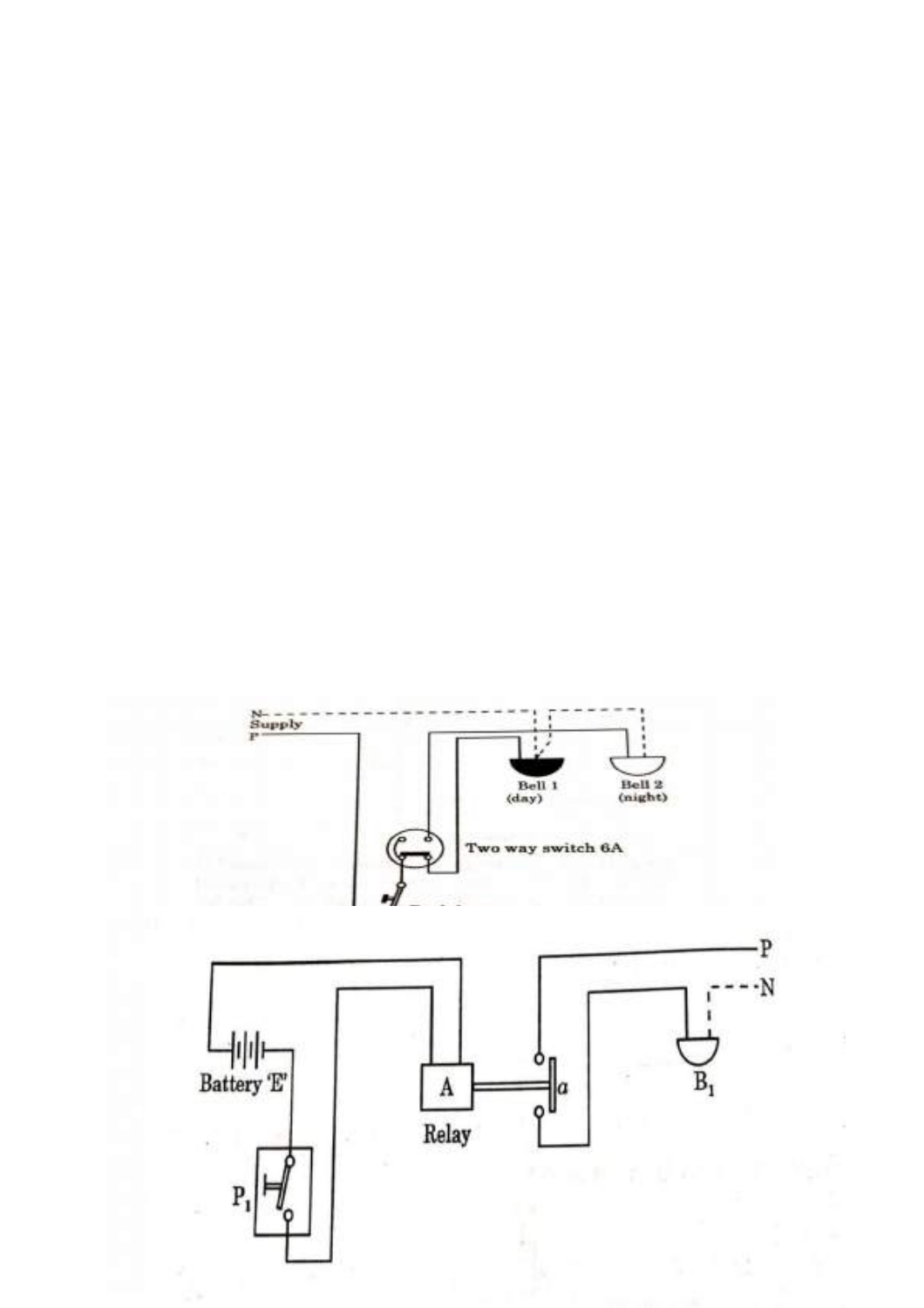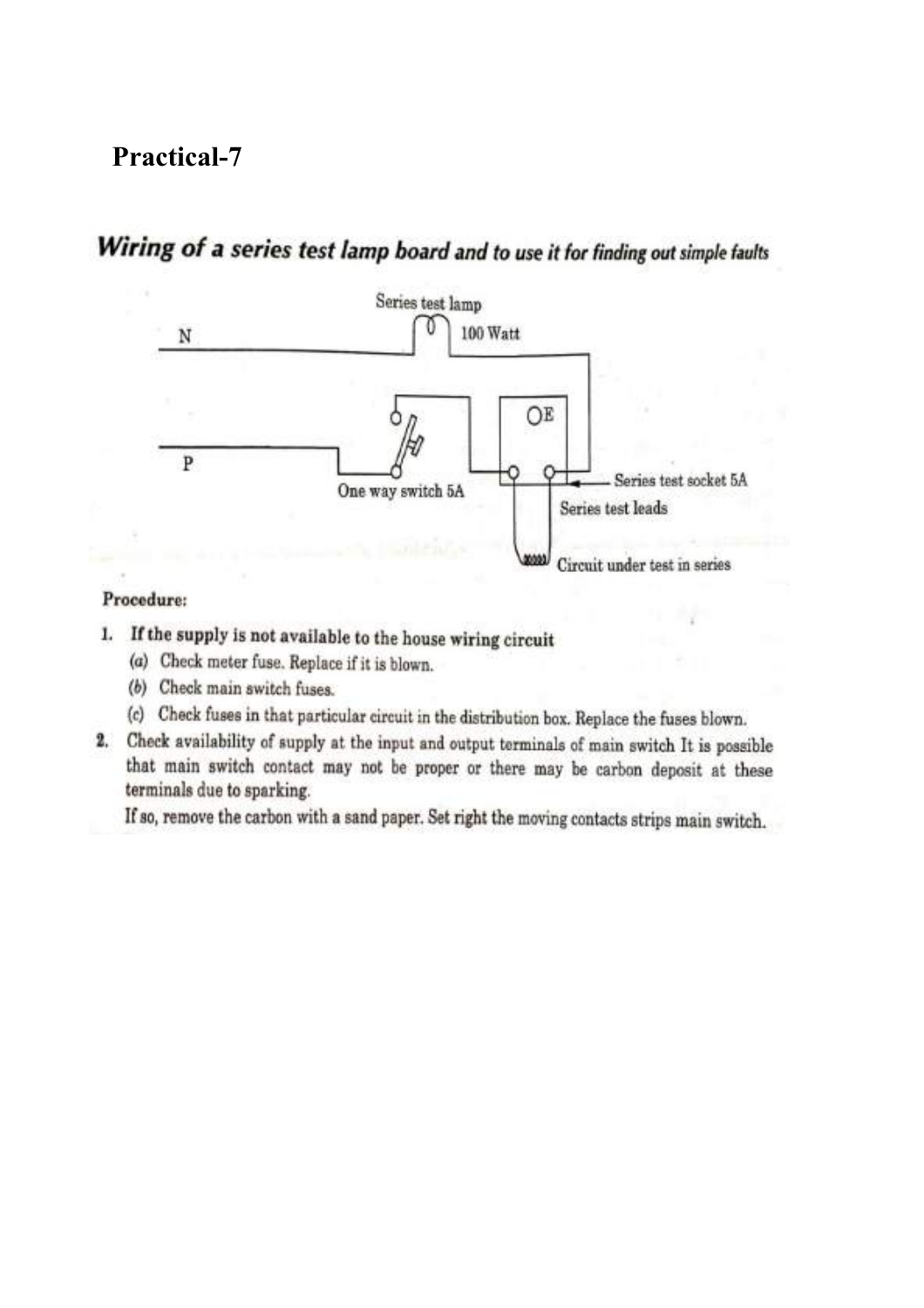## **Practical-7**

# Wiring of a series test lamp board and to use it for finding out simple faults



#### Procedure:

- 1. If the supply is not available to the house wiring circuit
	- (a) Check meter fuse. Replace if it is blown.
	- (b) Check main switch fuses.
	- (c) Check fuses in that particular circuit in the distribution box. Replace the fuses blown.
- 2. Check availability of supply at the input and output terminals of main switch It is possible that main switch contact may not be proper or there may be carbon deposit at these terminals due to sparking.

If so, remove the carbon with a sand paper. Set right the moving contacts strips main switch.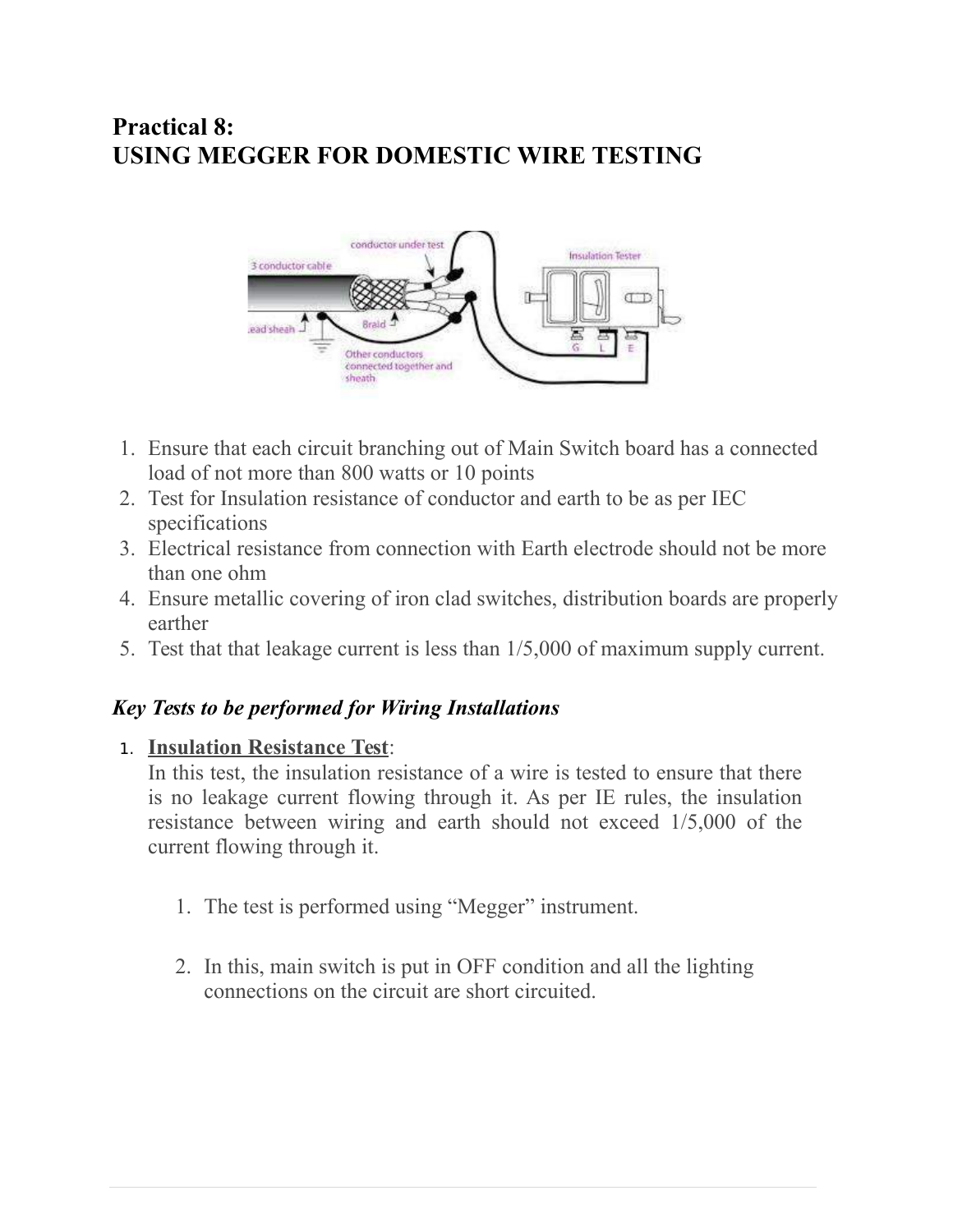## **Practical 8: USING MEGGER FOR DOMESTIC WIRE TESTING**



- 1. Ensure that each circuit branching out of Main Switch board has a connected load of not more than 800 watts or 10 points
- 2. Test for Insulation resistance of conductor and earth to be as per IEC specifications
- 3. Electrical resistance from connection with Earth electrode should not be more than one ohm
- 4. Ensure metallic covering of iron clad switches, distribution boards are properly earther
- 5. Test that that leakage current is less than 1/5,000 of maximum supply current.

## *Key Tests to be performed for Wiring Installations*

### 1. **Insulation Resistance Test**:

In this test, the insulation resistance of a wire is tested to ensure that there is no leakage current flowing through it. As per IE rules, the insulation resistance between wiring and earth should not exceed 1/5,000 of the current flowing through it.

- 1. The test is performed using "Megger" instrument.
- 2. In this, main switch is put in OFF condition and all the lighting connections on the circuit are short circuited.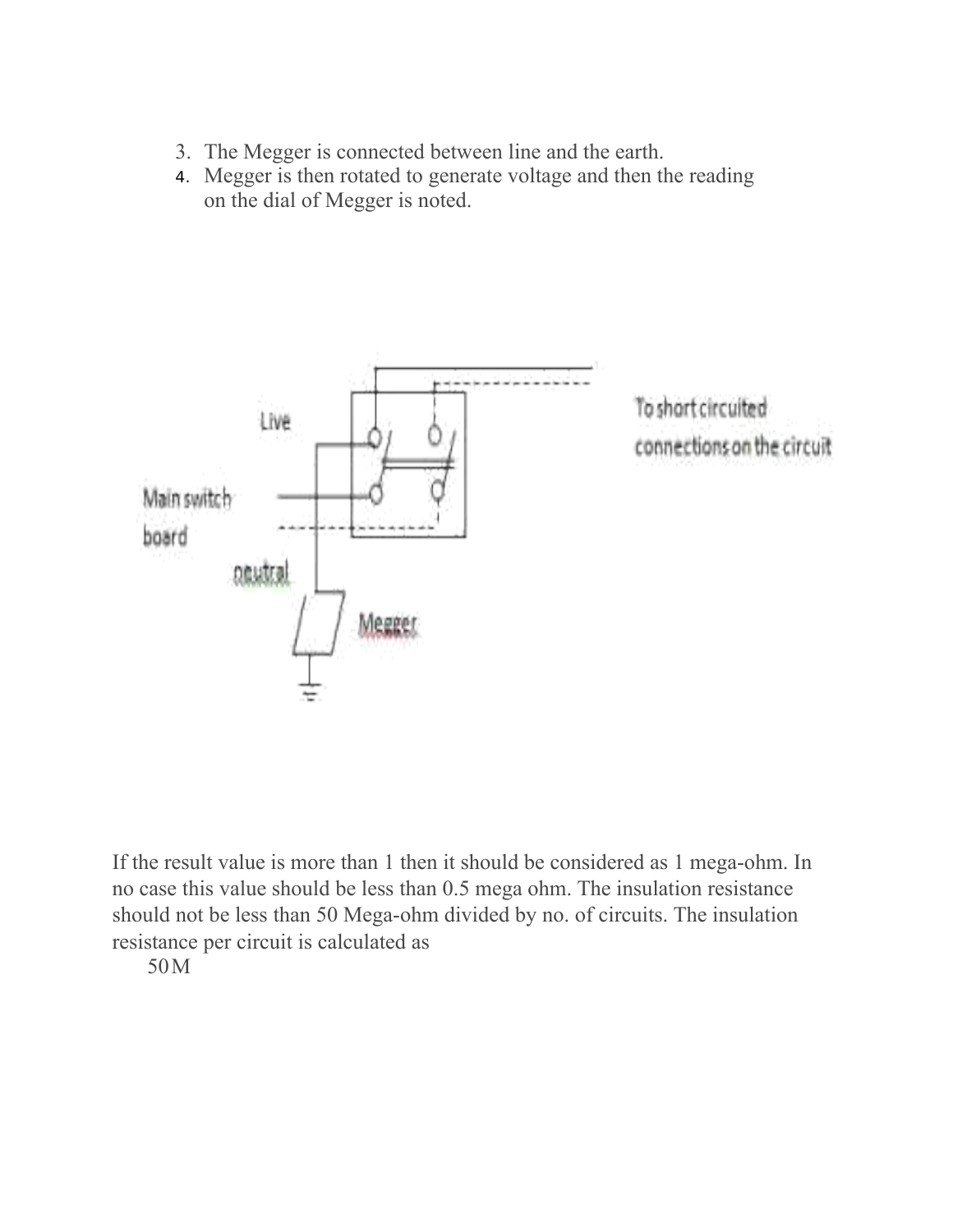- 3. The Megger is connected between line and the earth.
- 4. Megger is then rotated to generate voltage and then the reading on the dial of Megger is noted.



If the result value is more than 1 then it should be considered as 1 mega-ohm. In no case this value should be less than 0.5 mega ohm. The insulation resistance should not be less than 50 Mega-ohm divided by no. of circuits. The insulation resistance per circuit is calculated as

50M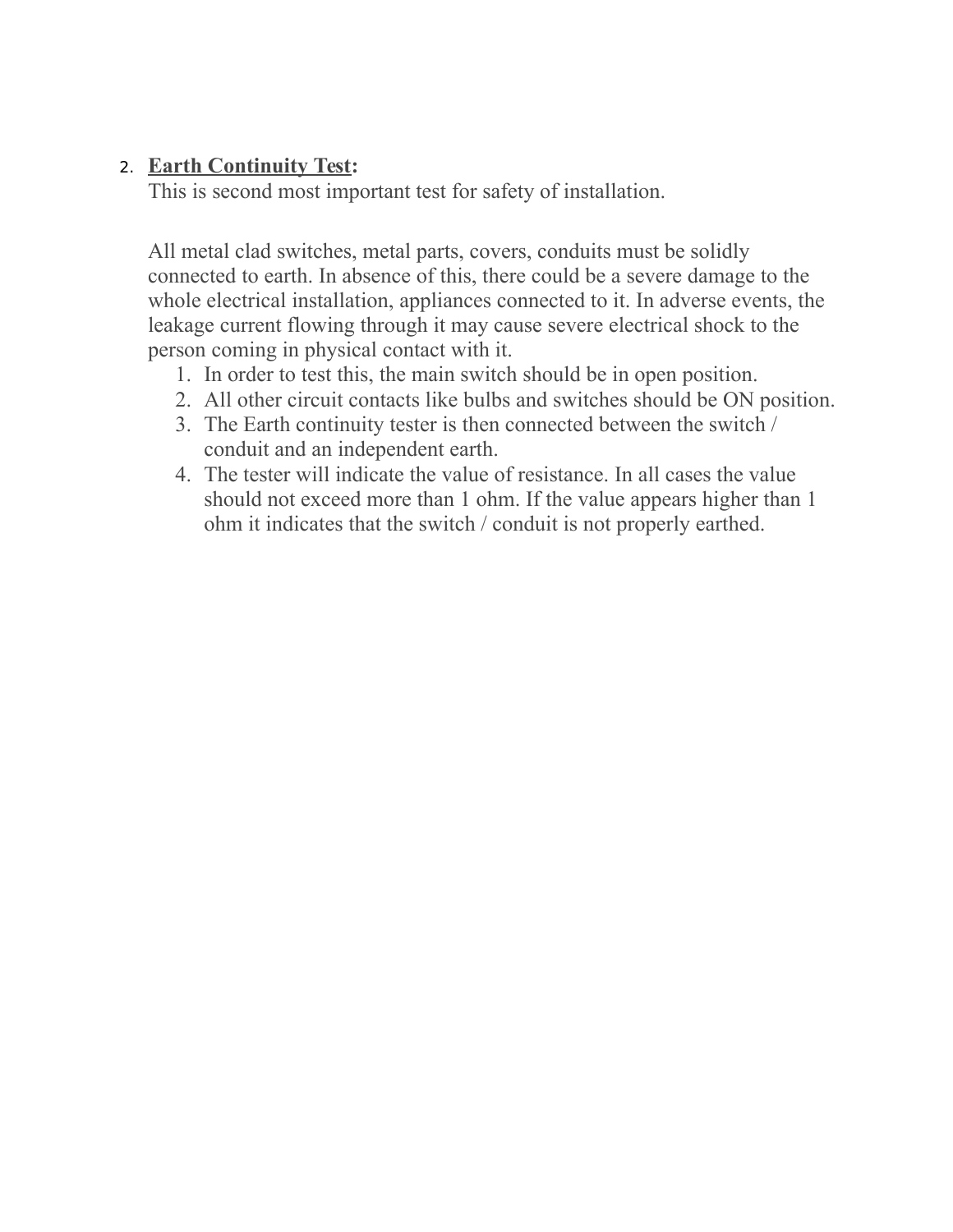## 2. **Earth Continuity Test:**

This is second most important test for safety of installation.

All metal clad switches, metal parts, covers, conduits must be solidly connected to earth. In absence of this, there could be a severe damage to the whole electrical installation, appliances connected to it. In adverse events, the leakage current flowing through it may cause severe electrical shock to the person coming in physical contact with it.

- 1. In order to test this, the main switch should be in open position.
- 2. All other circuit contacts like bulbs and switches should be ON position.
- 3. The Earth continuity tester is then connected between the switch / conduit and an independent earth.
- 4. The tester will indicate the value of resistance. In all cases the value should not exceed more than 1 ohm. If the value appears higher than 1 ohm it indicates that the switch / conduit is not properly earthed.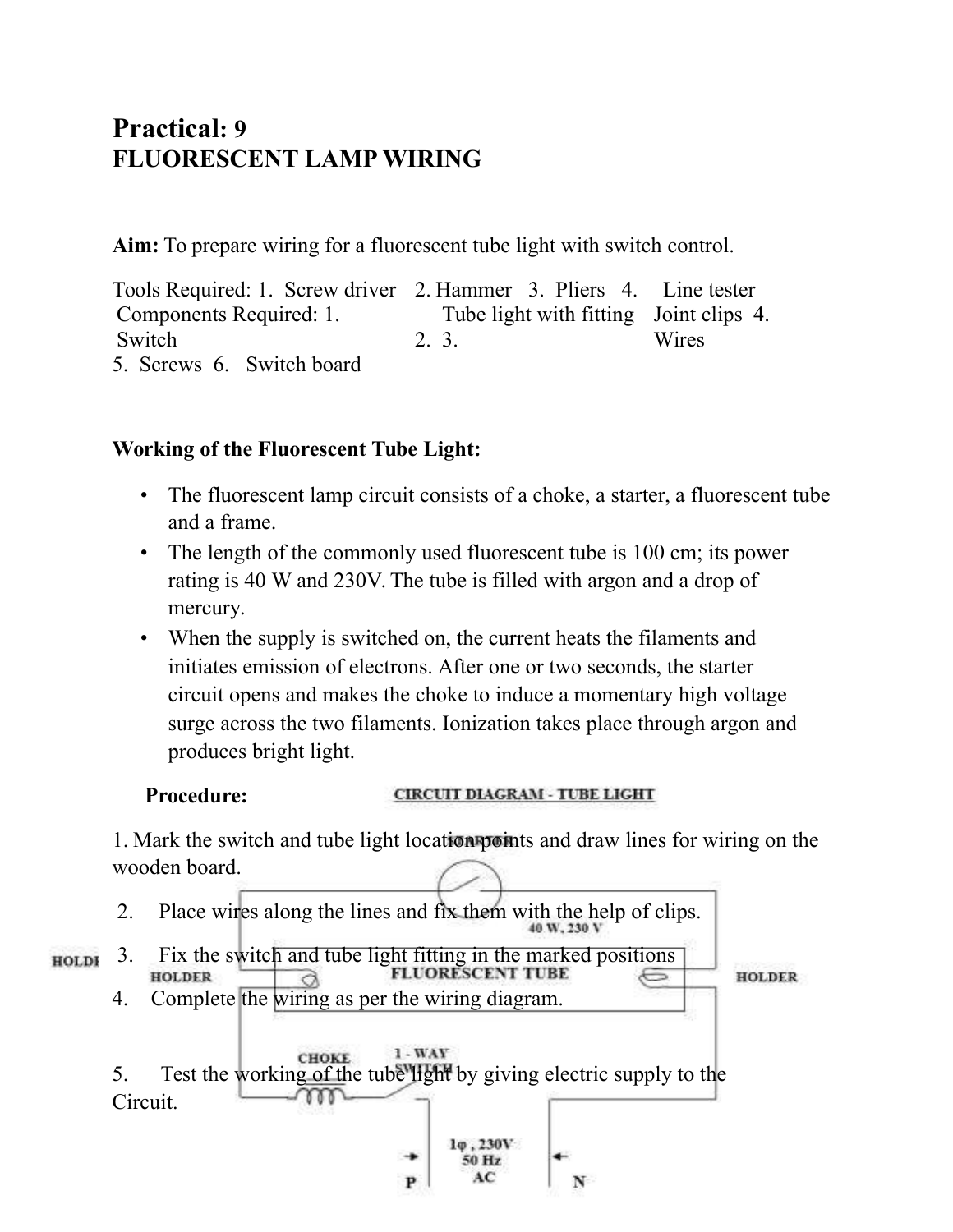## **Practical: 9 FLUORESCENT LAMP WIRING**

**Aim:** To prepare wiring for a fluorescent tube light with switch control.

Tools Required: 1. Screw driver 2. Hammer 3. Pliers 4. Line tester Components Required: 1. **Switch** Tube light with fitting Joint clips 4. 2. 3. Wires 5. Screws 6. Switch board

## **Working of the Fluorescent Tube Light:**

- The fluorescent lamp circuit consists of a choke, a starter, a fluorescent tube and a frame.
- The length of the commonly used fluorescent tube is 100 cm; its power rating is 40 W and 230V. The tube is filled with argon and a drop of mercury.
- When the supply is switched on, the current heats the filaments and initiates emission of electrons. After one or two seconds, the starter circuit opens and makes the choke to induce a momentary high voltage surge across the two filaments. Ionization takes place through argon and produces bright light.

### **Procedure:**

#### **CIRCUIT DIAGRAM - TUBE LIGHT**

1. Mark the switch and tube light location points and draw lines for wiring on the wooden board.

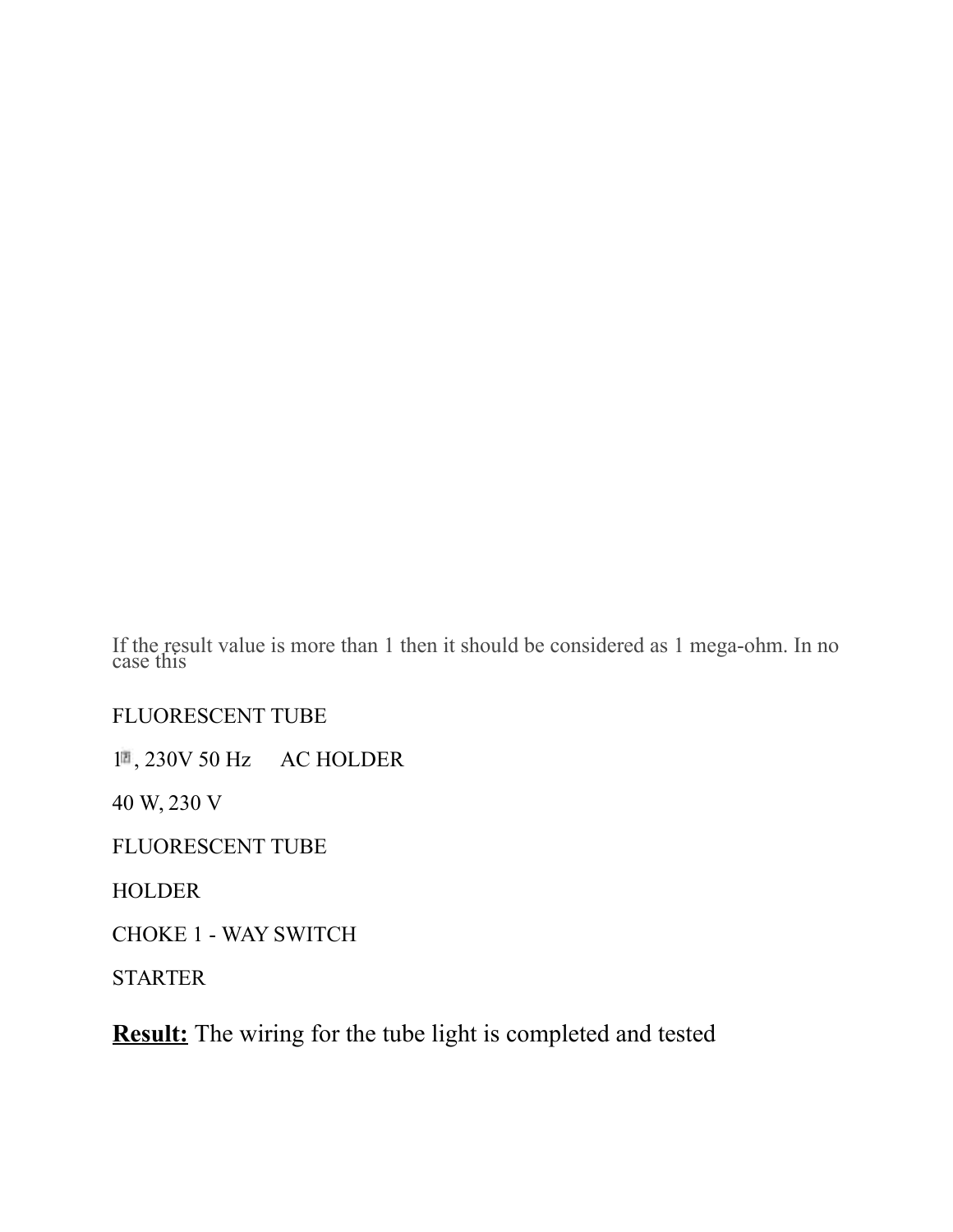If the result value is more than 1 then it should be considered as 1 mega-ohm. In no case this

## FLUORESCENT TUBE

1<sup>a</sup>, 230V 50 Hz AC HOLDER

40 W, 230 V

FLUORESCENT TUBE

HOLDER

CHOKE 1 - WAY SWITCH

STARTER

**Result:** The wiring for the tube light is completed and tested